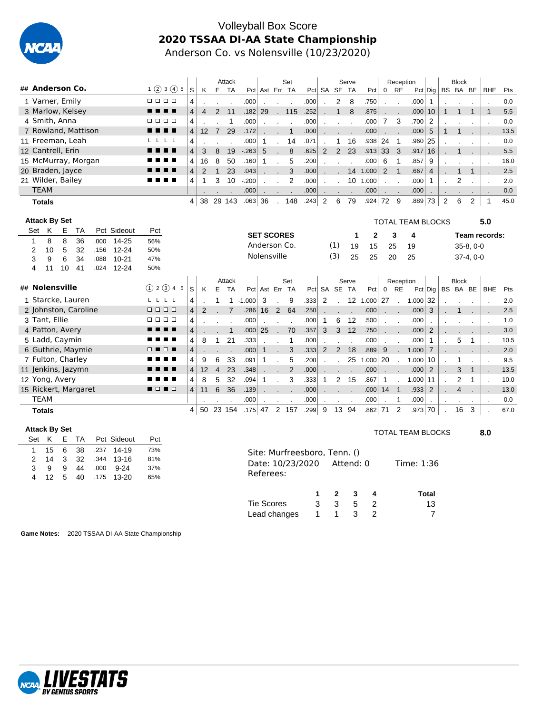

#### Volleyball Box Score **2020 TSSAA DI-AA State Championship** Anderson Co. vs Nolensville (10/23/2020)

|                                                                          |                             |                         |                 |                | Attack                   |             |                   |                          | Set            |                              |                |                         | Serve          |                |                          | Reception                |                          |                |                | <b>Block</b>   |                |                      |      |
|--------------------------------------------------------------------------|-----------------------------|-------------------------|-----------------|----------------|--------------------------|-------------|-------------------|--------------------------|----------------|------------------------------|----------------|-------------------------|----------------|----------------|--------------------------|--------------------------|--------------------------|----------------|----------------|----------------|----------------|----------------------|------|
| ## Anderson Co.                                                          | 1(2)3(4)5                   | S                       | Κ               |                | E TA                     |             | Pct Ast Err TA    |                          |                | Pct                          |                | SA SE TA                |                | Pct            | $\mathbf 0$              | <b>RE</b>                | $Pct$ Dig                |                |                | BS BA BE       |                | <b>BHE</b>           | Pts  |
| 1 Varner, Emily                                                          | 0000                        | 4                       |                 |                |                          | .000        |                   |                          |                | .000                         |                | $\overline{2}$          | 8              | .750           |                          |                          | .000                     | $\mathbf{1}$   |                |                |                |                      | 0.0  |
| 3 Marlow, Kelsey                                                         | .                           | 4                       | $\overline{4}$  | 2              | 11                       | .182        | 29                | $\sim$                   | 115            | .252                         |                | $\mathbf{1}$            | 8              | .875           |                          |                          | .000                     | 10             | $\mathbf{1}$   | $\mathbf{1}$   | $\mathbf{1}$   | $\mathbf{1}$         | 5.5  |
| 4 Smith, Anna                                                            | п<br>$\Box$ $\Box$ $\Box$   | 4                       |                 |                | $\mathbf{1}$             | .000        |                   | $\overline{a}$           | $\overline{a}$ | .000                         |                |                         |                | .000           | $\overline{7}$           | 3                        | .700                     | 2              |                |                |                |                      | 0.0  |
| 7 Rowland, Mattison                                                      | . .<br>- -                  | $\overline{4}$          | 12 <sup>2</sup> | $\overline{7}$ | 29                       | .172        |                   |                          | $\mathbf{1}$   | .000                         |                |                         |                | .000           |                          |                          | .000                     | 5              | $\mathbf{1}$   | 1              |                |                      | 13.5 |
| 11 Freeman, Leah                                                         | L,<br>L.                    | 4                       |                 |                |                          | .000        | $\mathbf{1}$      |                          | 14             | .071                         |                | 1                       | 16             | .938           | 24                       | $\overline{1}$           | .960                     | 25             |                |                |                | $\overline{a}$       | 0.0  |
| 12 Cantrell, Erin                                                        | п                           | $\overline{\mathbf{4}}$ | 3               | 8              | 19                       | $-263$      | 5                 |                          | 8              | .625                         | 2              | 2                       | 23             | .913           | 33                       | 3                        | .917                     | 16             |                | 1              |                | $\overline{a}$       | 5.5  |
| 15 McMurray, Morgan                                                      | ▬<br>п.                     | 4                       | 16              | 8              | 50                       | .160        | $\mathbf{1}$      |                          | 5              | .200                         |                |                         |                | .000           | 6                        | $\mathbf{1}$             | .857                     | 9              |                |                |                | $\overline{a}$       | 16.0 |
| 20 Braden, Jayce                                                         |                             | $\overline{\mathbf{4}}$ | $\overline{2}$  | $\mathbf{1}$   | 23                       | .043        |                   |                          | 3              | .000                         |                |                         |                | 14 1.000       | 2                        | $\overline{1}$           | .667                     | $\overline{4}$ |                | $\mathbf{1}$   | $\mathbf{1}$   | ٠.                   | 2.5  |
| 21 Wilder, Bailey                                                        |                             | 4                       | $\mathbf{1}$    | 3              | 10                       | $-.200$     |                   |                          | $\overline{2}$ | .000                         |                |                         | 10             | 1.000          | $\overline{a}$           |                          | .000                     | $\mathbf{1}$   |                | $\overline{2}$ |                | $\overline{a}$       | 2.0  |
| <b>TEAM</b>                                                              |                             |                         |                 |                |                          | .000        |                   |                          |                | .000                         |                |                         |                | .000           |                          |                          | .000                     |                |                |                |                |                      | 0.0  |
| <b>Totals</b>                                                            |                             | 4                       |                 |                | 38 29 143                | $.063$ 36   |                   |                          | 148            | .243                         | 2              | 6                       | 79             | $.924 \mid 72$ |                          | - 9                      | .889                     | 73             | $\overline{2}$ | 6              | $\overline{2}$ | 1                    | 45.0 |
|                                                                          |                             |                         |                 |                |                          |             |                   |                          |                |                              |                |                         |                |                |                          |                          |                          |                |                |                |                |                      |      |
| <b>Attack By Set</b>                                                     |                             |                         |                 |                |                          |             |                   |                          |                |                              |                |                         |                |                |                          |                          | <b>TOTAL TEAM BLOCKS</b> |                |                |                |                | 5.0                  |      |
| Κ<br>Е<br>Pct Sideout<br><b>TA</b><br>Set                                | Pct                         |                         |                 |                |                          |             | <b>SET SCORES</b> |                          |                |                              |                |                         | $\mathbf 1$    | $\mathbf{2}$   |                          | 3                        | 4                        |                |                |                |                | Team records:        |      |
| 8<br>36<br>$14 - 25$<br>$\mathbf{1}$<br>8<br>.000                        | 56%                         |                         |                 |                |                          |             | Anderson Co.      |                          |                |                              |                | (1)                     | 19             | 15             |                          | 25                       | 19                       |                |                |                | $35-8, 0-0$    |                      |      |
| $\overline{2}$<br>5<br>$12 - 24$<br>10<br>32<br>.156                     | 50%                         |                         |                 |                |                          |             | Nolensville       |                          |                |                              |                | (3)                     | 25             | 25             | 20                       |                          | 25                       |                |                |                | $37-4, 0-0$    |                      |      |
| 3<br>6<br>34<br>$10 - 21$<br>9<br>.088                                   | 47%                         |                         |                 |                |                          |             |                   |                          |                |                              |                |                         |                |                |                          |                          |                          |                |                |                |                |                      |      |
| 41<br>4<br>11<br>10<br>.024<br>12-24                                     | 50%                         |                         |                 |                |                          |             |                   |                          |                |                              |                |                         |                |                |                          |                          |                          |                |                |                |                |                      |      |
|                                                                          |                             |                         |                 |                | Attack                   |             |                   |                          | Set            |                              |                |                         | Serve          |                |                          | Reception                |                          |                |                | <b>Block</b>   |                |                      |      |
| ## Nolensville                                                           | (1) 2 (3) 4 5               | S                       | K               | E              | <b>TA</b>                |             | Pct Ast Err TA    |                          |                |                              |                | Pct SA SE TA            |                | Pct            | $\mathbf 0$              | <b>RE</b>                |                          | $Pct$ Dig      |                | BS BA BE       |                | <b>BHE</b>           | Pts  |
| 1 Starcke, Lauren                                                        | LLLL                        | 4                       |                 | $\mathbf 1$    |                          | $1 - 1.000$ | 3                 |                          | 9              | .333                         | $\overline{2}$ |                         |                | 12 1.000       | 27                       |                          | $1.000$ 32               |                |                |                |                |                      | 2.0  |
| 2 Johnston, Caroline                                                     | $\Box$ $\Box$ $\Box$ $\Box$ | $\overline{\mathbf{4}}$ | $\overline{2}$  |                | $\overline{7}$           | .286        | 16                | 2                        | 64             | .250                         |                |                         |                | .000           | $\overline{\phantom{a}}$ | $\overline{\phantom{a}}$ | .000                     | 3              | $\overline{a}$ | 1              | $\overline{a}$ | $\blacksquare$       | 2.5  |
| 3 Tant, Ellie                                                            | 0 0 0 0                     | 4                       |                 |                | $\overline{a}$           | .000        |                   |                          |                | .000                         | $\mathbf{1}$   | 6                       | 12             | .500           |                          |                          | .000                     |                |                |                |                | $\overline{a}$       | 1.0  |
| 4 Patton, Avery                                                          | . .                         | 4                       |                 |                | $\mathbf{1}$             | .000        | 25                | $\sim$                   | 70             | .357                         | 3              | 3                       | 12             | .750           |                          |                          | .000                     | 2              |                |                |                |                      | 3.0  |
| 5 Ladd, Caymin                                                           | ■                           | 4                       | 8               | $\mathbf{1}$   | 21                       | .333        |                   | $\overline{\phantom{a}}$ | $\mathbf{1}$   | .000                         | $\overline{a}$ |                         | $\overline{a}$ | .000           | $\overline{\phantom{a}}$ | $\overline{\phantom{a}}$ | .000                     | $\mathbf{1}$   | $\mathbf{r}$   | 5              | 1              | $\overline{a}$       | 10.5 |
| 6 Guthrie, Maymie                                                        | □■□■                        | $\overline{\mathbf{4}}$ |                 |                | $\overline{\phantom{a}}$ | .000        | $\mathbf{1}$      | ÷.                       | 3              | .333                         | $\overline{2}$ | $\overline{2}$          | 18             | .889           | 9                        |                          | 1.000                    | $\overline{7}$ |                |                | $\mathbf{r}$   | ٠.                   | 2.0  |
| 7 Fulton, Charley                                                        |                             | 4                       | 9               | 6              | 33                       | .091        | 1                 |                          | 5              | .200                         |                |                         | 25             | 1.000          | 20                       |                          | 1.000                    | 10             |                | 1              |                | $\overline{a}$       | 9.5  |
| 11 Jenkins, Jazymn                                                       |                             | $\overline{\mathbf{4}}$ | 12              | $\overline{4}$ | 23                       | .348        |                   |                          | $\overline{2}$ | .000                         |                |                         |                | .000           |                          | $\overline{\phantom{a}}$ | .000                     | $\overline{2}$ | $\overline{a}$ | 3              | $\mathbf{1}$   | $\blacksquare$       | 13.5 |
| 12 Yong, Avery                                                           | п                           | 4                       | 8               | 5              | 32                       | .094        | $\mathbf{1}$      |                          | 3              | .333                         | $\mathbf{1}$   | $\overline{c}$          | 15             | .867           | $\mathbf{1}$             |                          | 1.000                    | 11             | $\overline{a}$ | 2              | 1              | $\overline{a}$       | 10.0 |
| 15 Rickert, Margaret                                                     | ∎□∎□                        | $\overline{\mathbf{4}}$ | 11              | 6              | 36                       | .139        |                   |                          |                | .000                         |                |                         |                | .000           | 14                       | $\mathbf{1}$             | .933                     | $\overline{2}$ |                | $\overline{4}$ |                |                      | 13.0 |
| <b>TEAM</b>                                                              |                             |                         |                 |                |                          | .000        |                   |                          |                | .000                         |                |                         |                | .000           |                          | $\mathbf{1}$             | .000                     |                |                |                |                | $\ddot{\phantom{a}}$ | 0.0  |
| <b>Totals</b>                                                            |                             | 4                       | 50              |                | 23 154                   | $.175$ 47   |                   |                          | 2 157          | .299                         | 9              | 13 94                   |                | .862           | 71                       | $\overline{2}$           | .973 70                  |                |                | 16             | 3              |                      | 67.0 |
|                                                                          |                             |                         |                 |                |                          |             |                   |                          |                |                              |                |                         |                |                |                          |                          |                          |                |                |                |                |                      |      |
| <b>Attack By Set</b>                                                     |                             |                         |                 |                |                          |             |                   |                          |                |                              |                |                         |                |                |                          |                          | <b>TOTAL TEAM BLOCKS</b> |                |                |                |                | 8.0                  |      |
| K<br>Ε<br><b>TA</b><br>Pct Sideout<br>Set                                | Pct                         |                         |                 |                |                          |             |                   |                          |                |                              |                |                         |                |                |                          |                          |                          |                |                |                |                |                      |      |
| 6<br>14-19<br>$\mathbf{1}$<br>15<br>38<br>.237                           | 73%                         |                         |                 |                |                          |             |                   |                          |                | Site: Murfreesboro, Tenn. () |                |                         |                |                |                          |                          |                          |                |                |                |                |                      |      |
| $\overline{2}$<br>3<br>32<br>$13 - 16$<br>14<br>.344                     | 81%                         |                         |                 |                |                          |             |                   |                          |                | Date: 10/23/2020             |                |                         | Attend: 0      |                |                          |                          | Time: 1:36               |                |                |                |                |                      |      |
| 3<br>9<br>9<br>$9 - 24$<br>44<br>.000<br>12<br>5<br>4<br>40<br>$13 - 20$ | 37%<br>65%                  |                         |                 |                |                          |             | Referees:         |                          |                |                              |                |                         |                |                |                          |                          |                          |                |                |                |                |                      |      |
| .175                                                                     |                             |                         |                 |                |                          |             |                   |                          |                |                              |                |                         |                |                |                          |                          |                          |                |                |                |                |                      |      |
|                                                                          |                             |                         |                 |                |                          |             |                   |                          |                | 1                            |                | $\overline{\mathbf{2}}$ | $\overline{3}$ | 4              |                          |                          |                          | Total          |                |                |                |                      |      |
|                                                                          |                             |                         |                 |                |                          |             | <b>Tie Scores</b> |                          |                | 3                            |                | 3                       | 5              | 2              |                          |                          |                          | 13             |                |                |                |                      |      |
|                                                                          |                             |                         |                 |                |                          |             |                   |                          | Lead changes   | 1                            |                | 1                       | 3              | $\overline{2}$ |                          |                          |                          | 7              |                |                |                |                      |      |

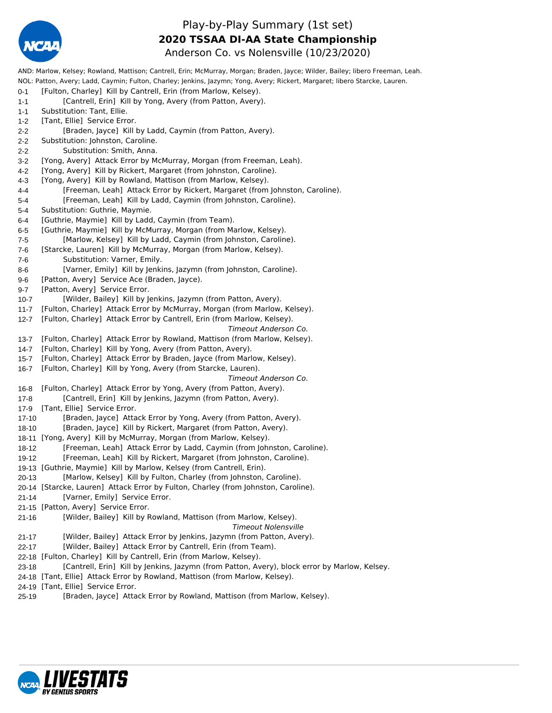

#### Play-by-Play Summary (1st set) Anderson Co. vs Nolensville (10/23/2020) **2020 TSSAA DI-AA State Championship**

AND: Marlow, Kelsey; Rowland, Mattison; Cantrell, Erin; McMurray, Morgan; Braden, Jayce; Wilder, Bailey; libero Freeman, Leah. NOL: Patton, Avery; Ladd, Caymin; Fulton, Charley; Jenkins, Jazymn; Yong, Avery; Rickert, Margaret; libero Starcke, Lauren. 0-1 [Fulton, Charley] Kill by Cantrell, Erin (from Marlow, Kelsey). 1-1 [Cantrell, Erin] Kill by Yong, Avery (from Patton, Avery). 1-1 Substitution: Tant, Ellie. 1-2 [Tant, Ellie] Service Error. 2-2 [Braden, Jayce] Kill by Ladd, Caymin (from Patton, Avery). 2-2 Substitution: Johnston, Caroline. 2-2 Substitution: Smith, Anna. 3-2 [Yong, Avery] Attack Error by McMurray, Morgan (from Freeman, Leah). 4-2 [Yong, Avery] Kill by Rickert, Margaret (from Johnston, Caroline). 4-3 [Yong, Avery] Kill by Rowland, Mattison (from Marlow, Kelsey). 4-4 [Freeman, Leah] Attack Error by Rickert, Margaret (from Johnston, Caroline). 5-4 [Freeman, Leah] Kill by Ladd, Caymin (from Johnston, Caroline). 5-4 Substitution: Guthrie, Maymie. 6-4 [Guthrie, Maymie] Kill by Ladd, Caymin (from Team). 6-5 [Guthrie, Maymie] Kill by McMurray, Morgan (from Marlow, Kelsey). 7-5 [Marlow, Kelsey] Kill by Ladd, Caymin (from Johnston, Caroline). 7-6 [Starcke, Lauren] Kill by McMurray, Morgan (from Marlow, Kelsey). 7-6 Substitution: Varner, Emily. 8-6 [Varner, Emily] Kill by Jenkins, Jazymn (from Johnston, Caroline). 9-6 [Patton, Avery] Service Ace (Braden, Jayce). 9-7 [Patton, Avery] Service Error. 10-7 [Wilder, Bailey] Kill by Jenkins, Jazymn (from Patton, Avery). 11-7 [Fulton, Charley] Attack Error by McMurray, Morgan (from Marlow, Kelsey). 12-7 [Fulton, Charley] Attack Error by Cantrell, Erin (from Marlow, Kelsey). *Timeout Anderson Co.* 13-7 [Fulton, Charley] Attack Error by Rowland, Mattison (from Marlow, Kelsey). 14-7 [Fulton, Charley] Kill by Yong, Avery (from Patton, Avery). 15-7 [Fulton, Charley] Attack Error by Braden, Jayce (from Marlow, Kelsey). 16-7 [Fulton, Charley] Kill by Yong, Avery (from Starcke, Lauren). *Timeout Anderson Co.* 16-8 [Fulton, Charley] Attack Error by Yong, Avery (from Patton, Avery). 17-8 [Cantrell, Erin] Kill by Jenkins, Jazymn (from Patton, Avery). 17-9 [Tant, Ellie] Service Error. 17-10 [Braden, Jayce] Attack Error by Yong, Avery (from Patton, Avery). 18-10 [Braden, Jayce] Kill by Rickert, Margaret (from Patton, Avery). 18-11 [Yong, Avery] Kill by McMurray, Morgan (from Marlow, Kelsey). 18-12 [Freeman, Leah] Attack Error by Ladd, Caymin (from Johnston, Caroline). 19-12 [Freeman, Leah] Kill by Rickert, Margaret (from Johnston, Caroline). 19-13 [Guthrie, Maymie] Kill by Marlow, Kelsey (from Cantrell, Erin). 20-13 [Marlow, Kelsey] Kill by Fulton, Charley (from Johnston, Caroline). 20-14 [Starcke, Lauren] Attack Error by Fulton, Charley (from Johnston, Caroline). 21-14 [Varner, Emily] Service Error. 21-15 [Patton, Avery] Service Error. 21-16 [Wilder, Bailey] Kill by Rowland, Mattison (from Marlow, Kelsey). *Timeout Nolensville* 21-17 [Wilder, Bailey] Attack Error by Jenkins, Jazymn (from Patton, Avery). 22-17 [Wilder, Bailey] Attack Error by Cantrell, Erin (from Team). 22-18 [Fulton, Charley] Kill by Cantrell, Erin (from Marlow, Kelsey). 23-18 [Cantrell, Erin] Kill by Jenkins, Jazymn (from Patton, Avery), block error by Marlow, Kelsey. 24-18 [Tant, Ellie] Attack Error by Rowland, Mattison (from Marlow, Kelsey). 24-19 [Tant, Ellie] Service Error.

25-19 [Braden, Jayce] Attack Error by Rowland, Mattison (from Marlow, Kelsey).

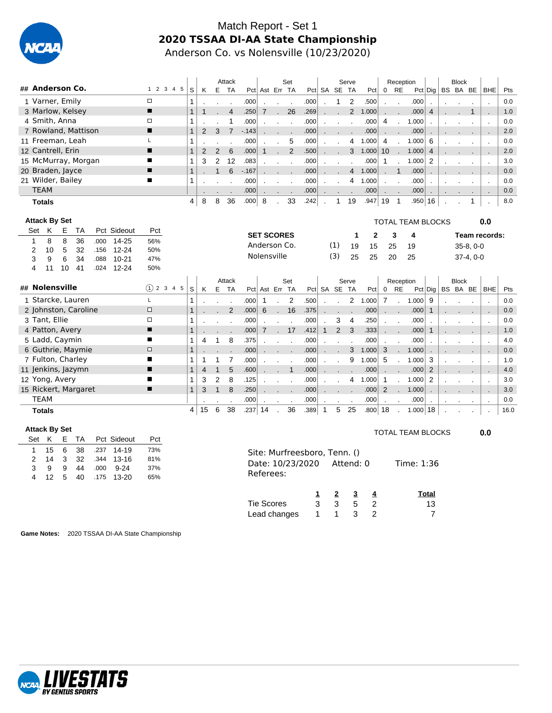

#### Match Report - Set 1 **2020 TSSAA DI-AA State Championship** Anderson Co. vs Nolensville (10/23/2020)

|                      |        |           |    |               |               | Attack         |        |                |               | Set              |      |              |              | Serve   |                         |                   | Reception      |                          |                 |          | <b>Block</b> |              |     |
|----------------------|--------|-----------|----|---------------|---------------|----------------|--------|----------------|---------------|------------------|------|--------------|--------------|---------|-------------------------|-------------------|----------------|--------------------------|-----------------|----------|--------------|--------------|-----|
| ## Anderson Co.      |        | 1 2 3 4 5 | S. | K             |               | E TA           |        | Pct Ast Err TA |               |                  |      | Pct SA SE TA |              |         | Pct                     | $\overline{0}$    | RE             |                          | $Pct  $ Dig $ $ | BS BA BE |              | <b>BHE</b>   | Pts |
| 1 Varner, Emily      | $\Box$ |           |    |               |               |                | .000   |                |               |                  | .000 |              | $\mathbf{1}$ | 2       | .500                    |                   |                | .000                     |                 |          |              |              | 0.0 |
| 3 Marlow, Kelsey     | п      |           |    |               |               | $\overline{4}$ | .250   | $\overline{7}$ | $\mathbf{r}$  | 26               | .269 | $\mathbf{r}$ | $\sim$       |         | 2 1.000                 | <b>CONTRACTOR</b> | $\sim$         | .000                     | 4               |          |              |              | 1.0 |
| 4 Smith, Anna        | ◻      |           |    |               |               |                | .000   |                | $\sim$ $\sim$ |                  | .000 | $\mathbf{r}$ |              | $\sim$  | .000                    | 4                 | $\cdot$        | 1.000                    |                 |          |              |              | 0.0 |
| 7 Rowland, Mattison  | п      |           |    | 2             | 3             | $-7$           | $-143$ |                | $\sim$        | $\sim$           | .000 | $\mathbf{r}$ |              |         | .000                    |                   | $\sim$         | .000                     | $\cdot$         |          |              |              | 2.0 |
| 11 Freeman, Leah     |        |           |    |               |               |                | .000   |                | $\sim$        | 5                | .000 |              |              | 4       | 1.000                   | 4                 |                | 1.000                    | 6               |          |              | $\mathbf{r}$ | 0.0 |
| 12 Cantrell, Erin    | п      |           |    | $\mathcal{P}$ | $\mathcal{P}$ | 6              | .000   |                |               | 2                | .500 | $\mathbf{r}$ | $\sim$       |         | $3 \quad 1.000 \mid 10$ |                   |                | . 1.000   4              |                 |          |              | <b>.</b>     | 2.0 |
| 15 McMurray, Morgan  | п      |           |    | 3             | 2             | 12             | .083   |                | $\sim$        | $\sim$           | .000 |              |              | $\cdot$ | .000                    |                   |                | 1.000                    | 2               |          |              |              | 3.0 |
| 20 Braden, Jayce     | п      |           |    |               |               | 6              | $-167$ |                | $\sim$        | $\sim$ 100 $\mu$ | .000 | $\mathbf{r}$ | $\sim$       |         | 4 1.000                 | $\mathbf{r}$      | $\overline{1}$ | .000                     |                 |          |              | $\mathbf{r}$ | 0.0 |
| 21 Wilder, Bailey    | п      |           |    |               |               |                | .000   |                |               |                  | .000 | $\cdot$      |              | 4       | 1.000                   |                   | $\blacksquare$ | .000                     |                 | $\cdot$  |              |              | 0.0 |
| <b>TEAM</b>          |        |           |    |               |               |                | .000   |                |               |                  | .000 |              |              |         | .000                    | $\sim$ 100 $\pm$  | $\cdot$        | 000                      |                 |          |              |              | 0.0 |
| <b>Totals</b>        |        |           | 4  | 8             | 8             | 36             | .000   | -8             |               | 33               | .242 |              | $\mathbf{1}$ | 19      | .947                    | 19                | $\overline{1}$ | .950 16                  |                 |          |              |              | 8.0 |
| <b>Attack By Set</b> |        |           |    |               |               |                |        |                |               |                  |      |              |              |         |                         |                   |                | <b>TOTAL TEAM BLOCKS</b> |                 |          |              | 0.0          |     |

| Set | Κ               | E. | ТA                   |      | Pct Sideout | Pct    |               |   |    |    |           |      | <b>SET SCORES</b> |        |              |      |                |       | $\mathbf{2}$ |                | 3                    | 4         |                |    |              |             | Team records:  |      |
|-----|-----------------|----|----------------------|------|-------------|--------|---------------|---|----|----|-----------|------|-------------------|--------|--------------|------|----------------|-------|--------------|----------------|----------------------|-----------|----------------|----|--------------|-------------|----------------|------|
|     | 8               | 8  | 36                   | .000 | $14 - 25$   | 56%    |               |   |    |    |           |      |                   |        |              |      |                |       |              |                |                      |           |                |    |              |             |                |      |
| 2   | 10              | 5  | 32                   | .156 | $12 - 24$   | 50%    |               |   |    |    |           |      |                   |        | Anderson Co. |      | (1)            | 19    | 15           | 25             |                      | 19        |                |    |              | $35-8, 0-0$ |                |      |
| 3   | 9               | 6  | 34                   | .088 | $10 - 21$   | 47%    |               |   |    |    |           |      | Nolensville       |        |              |      | (3)            | 25    | 25           | 20             |                      | 25        |                |    |              | $37-4, 0-0$ |                |      |
| 4   | 11              | 10 | 41                   | .024 | $12 - 24$   | 50%    |               |   |    |    |           |      |                   |        |              |      |                |       |              |                |                      |           |                |    |              |             |                |      |
|     |                 |    |                      |      |             |        |               |   |    |    | Attack    |      |                   |        | Set          |      |                | Serve |              |                |                      | Reception |                |    | <b>Block</b> |             |                |      |
|     | ## Nolensville  |    |                      |      |             |        | $(1)$ 2 3 4 5 | S | K  | E. | <b>TA</b> |      | Pct Ast Err       |        | <b>TA</b>    |      | Pct SA SE      | TA    | Pct          | 0              | RE                   |           | Pct   Dig      | BS |              | BA BE       | <b>BHE</b>     | Pts  |
|     |                 |    | 1 Starcke, Lauren    |      |             |        |               |   |    |    |           | .000 | 1                 |        | 2            | .500 |                | 2     | 1.000        | 7              |                      | 1.000     | 9              |    |              |             |                | 0.0  |
|     |                 |    | 2 Johnston, Caroline |      |             | $\Box$ |               |   |    |    | 2         | .000 | 6                 |        | 16           | .375 |                |       | .000         | $\cdot$        | $\cdot$              | .000      |                |    |              |             |                | 0.0  |
|     | 3 Tant, Ellie   |    |                      |      |             | □      |               |   |    |    |           | .000 |                   |        |              | .000 | 3              | 4     | .250         |                |                      | .000      |                |    |              |             |                | 0.0  |
|     | 4 Patton, Avery |    |                      |      |             | п      |               |   |    |    |           | .000 | 7                 | $\sim$ | 17           | .412 | $\overline{2}$ | 3     | .333         |                | $\mathbf{r}$         | .000      |                |    |              |             |                | 1.0  |
|     | 5 Ladd, Caymin  |    |                      |      |             | п      |               |   | 4  |    | 8         | .375 |                   |        |              | .000 |                |       | .000         |                |                      | .000      |                |    |              |             |                | 4.0  |
|     |                 |    | 6 Guthrie, Maymie    |      |             | $\Box$ |               |   |    |    |           | .000 |                   |        |              | .000 |                | 3     | 1.000        | 3              | $\cdot$              | 1.000     |                |    |              |             |                | 0.0  |
|     |                 |    | 7 Fulton, Charley    |      |             | п      |               |   |    |    |           | .000 |                   |        |              | .000 |                | 9     | 1.000        | -5             |                      | 1.000     | 3              |    |              |             |                | 1.0  |
|     |                 |    | 11 Jenkins, Jazymn   |      |             | п      |               |   | 4  |    | 5         | .600 |                   |        |              | .000 |                |       | .000         | $\cdot$        | $\ddot{\phantom{0}}$ | .000      | 2              |    |              |             | $\blacksquare$ | 4.0  |
|     | 12 Yong, Avery  |    |                      |      |             | ▬      |               |   | 3  | 2  | 8         | .125 |                   |        |              | .000 |                | 4     | 1.000        | -1             |                      | 1.000     | 2              |    |              |             |                | 3.0  |
|     |                 |    | 15 Rickert, Margaret |      |             | п      |               |   | 3  |    | 8         | .250 |                   |        |              | .000 |                |       | .000         | $\overline{2}$ | $\cdot$              | 1.000     | $\cdot$        |    |              |             | $\mathbf{r}$   | 3.0  |
|     | TEAM            |    |                      |      |             |        |               |   |    |    |           | .000 |                   |        |              | .000 |                |       | .000         | $\blacksquare$ | $\cdot$              | .000      | $\blacksquare$ |    |              | $\bullet$   | $\sim$         | 0.0  |
|     | <b>Totals</b>   |    |                      |      |             |        |               | 4 | 15 | 6  | 38        | .237 | 14                |        | 36           | .389 | 5              | 25    | .800         | 18             |                      | 1.000 18  |                |    |              |             |                | 16.0 |

 $0.0$ 

| <b>Attack By Set</b> |    |   |    |      |             |     |                   |                                                                            |              |   |                | TOTAL TEAM BLOCKS |  |  |  |  |  |  |  |  |
|----------------------|----|---|----|------|-------------|-----|-------------------|----------------------------------------------------------------------------|--------------|---|----------------|-------------------|--|--|--|--|--|--|--|--|
| Set                  | K  | E | TA |      | Pct Sideout | Pct |                   |                                                                            |              |   |                |                   |  |  |  |  |  |  |  |  |
|                      | 15 | 6 | 38 | .237 | 14-19       | 73% |                   |                                                                            |              |   |                |                   |  |  |  |  |  |  |  |  |
| 2                    | 14 | 3 | 32 | .344 | $13 - 16$   | 81% |                   |                                                                            |              |   |                | Time: 1:36        |  |  |  |  |  |  |  |  |
| 3                    | 9  | 9 | 44 | .000 | $9 - 24$    | 37% |                   | Site: Murfreesboro, Tenn. ()<br>Date: 10/23/2020<br>Attend: 0<br>Referees: |              |   |                |                   |  |  |  |  |  |  |  |  |
| 4                    | 12 | 5 | 40 | .175 | $13 - 20$   | 65% |                   |                                                                            |              |   |                |                   |  |  |  |  |  |  |  |  |
|                      |    |   |    |      |             |     |                   |                                                                            | $\mathbf{2}$ | 3 | 4              | <b>Total</b>      |  |  |  |  |  |  |  |  |
|                      |    |   |    |      |             |     | <b>Tie Scores</b> | 3                                                                          | 3            | 5 | -2             | 13                |  |  |  |  |  |  |  |  |
|                      |    |   |    |      |             |     | Lead changes      |                                                                            |              | 3 | $\overline{2}$ |                   |  |  |  |  |  |  |  |  |

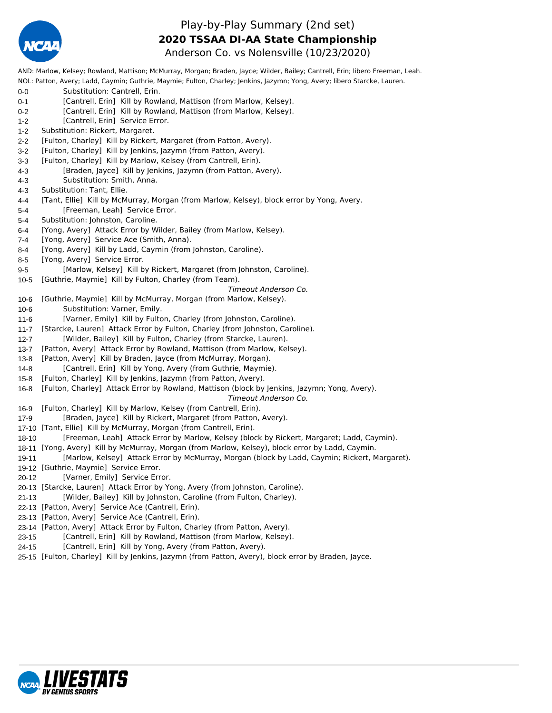

#### Play-by-Play Summary (2nd set) Anderson Co. vs Nolensville (10/23/2020) **2020 TSSAA DI-AA State Championship**

AND: Marlow, Kelsey; Rowland, Mattison; McMurray, Morgan; Braden, Jayce; Wilder, Bailey; Cantrell, Erin; libero Freeman, Leah. NOL: Patton, Avery; Ladd, Caymin; Guthrie, Maymie; Fulton, Charley; Jenkins, Jazymn; Yong, Avery; libero Starcke, Lauren. 0-0 Substitution: Cantrell, Erin. 0-1 [Cantrell, Erin] Kill by Rowland, Mattison (from Marlow, Kelsey). 0-2 [Cantrell, Erin] Kill by Rowland, Mattison (from Marlow, Kelsey). 1-2 [Cantrell, Erin] Service Error. 1-2 Substitution: Rickert, Margaret. 2-2 [Fulton, Charley] Kill by Rickert, Margaret (from Patton, Avery). 3-2 [Fulton, Charley] Kill by Jenkins, Jazymn (from Patton, Avery). 3-3 [Fulton, Charley] Kill by Marlow, Kelsey (from Cantrell, Erin). 4-3 [Braden, Jayce] Kill by Jenkins, Jazymn (from Patton, Avery). 4-3 Substitution: Smith, Anna. 4-3 Substitution: Tant, Ellie. 4-4 [Tant, Ellie] Kill by McMurray, Morgan (from Marlow, Kelsey), block error by Yong, Avery. 5-4 [Freeman, Leah] Service Error. 5-4 Substitution: Johnston, Caroline. 6-4 [Yong, Avery] Attack Error by Wilder, Bailey (from Marlow, Kelsey). 7-4 [Yong, Avery] Service Ace (Smith, Anna). 8-4 [Yong, Avery] Kill by Ladd, Caymin (from Johnston, Caroline). 8-5 [Yong, Avery] Service Error. 9-5 [Marlow, Kelsey] Kill by Rickert, Margaret (from Johnston, Caroline). 10-5 [Guthrie, Maymie] Kill by Fulton, Charley (from Team). *Timeout Anderson Co.* 10-6 [Guthrie, Maymie] Kill by McMurray, Morgan (from Marlow, Kelsey). 10-6 Substitution: Varner, Emily. 11-6 [Varner, Emily] Kill by Fulton, Charley (from Johnston, Caroline). 11-7 [Starcke, Lauren] Attack Error by Fulton, Charley (from Johnston, Caroline). 12-7 [Wilder, Bailey] Kill by Fulton, Charley (from Starcke, Lauren). 13-7 [Patton, Avery] Attack Error by Rowland, Mattison (from Marlow, Kelsey). 13-8 [Patton, Avery] Kill by Braden, Jayce (from McMurray, Morgan). 14-8 [Cantrell, Erin] Kill by Yong, Avery (from Guthrie, Maymie). 15-8 [Fulton, Charley] Kill by Jenkins, Jazymn (from Patton, Avery). 16-8 [Fulton, Charley] Attack Error by Rowland, Mattison (block by Jenkins, Jazymn; Yong, Avery). *Timeout Anderson Co.* 16-9 [Fulton, Charley] Kill by Marlow, Kelsey (from Cantrell, Erin). 17-9 [Braden, Jayce] Kill by Rickert, Margaret (from Patton, Avery). 17-10 [Tant, Ellie] Kill by McMurray, Morgan (from Cantrell, Erin). 18-10 [Freeman, Leah] Attack Error by Marlow, Kelsey (block by Rickert, Margaret; Ladd, Caymin). 18-11 [Yong, Avery] Kill by McMurray, Morgan (from Marlow, Kelsey), block error by Ladd, Caymin. 19-11 [Marlow, Kelsey] Attack Error by McMurray, Morgan (block by Ladd, Caymin; Rickert, Margaret). 19-12 [Guthrie, Maymie] Service Error. 20-12 [Varner, Emily] Service Error. 20-13 [Starcke, Lauren] Attack Error by Yong, Avery (from Johnston, Caroline). 21-13 [Wilder, Bailey] Kill by Johnston, Caroline (from Fulton, Charley). 22-13 [Patton, Avery] Service Ace (Cantrell, Erin). 23-13 [Patton, Avery] Service Ace (Cantrell, Erin). 23-14 [Patton, Avery] Attack Error by Fulton, Charley (from Patton, Avery). 23-15 [Cantrell, Erin] Kill by Rowland, Mattison (from Marlow, Kelsey).

- 24-15 [Cantrell, Erin] Kill by Yong, Avery (from Patton, Avery).
- 25-15 [Fulton, Charley] Kill by Jenkins, Jazymn (from Patton, Avery), block error by Braden, Jayce.

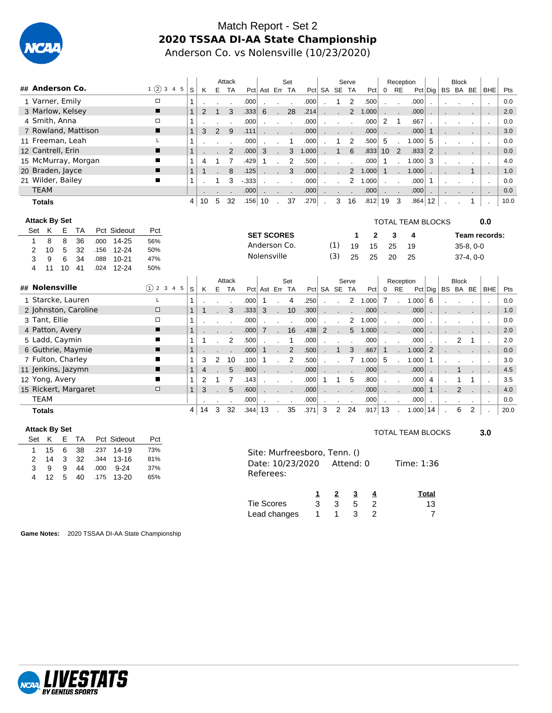

#### Match Report - Set 2 **2020 TSSAA DI-AA State Championship** Anderson Co. vs Nolensville (10/23/2020)

|                     |                  |     |    |               | Attack    |        |                |              | Set          |       |                             |              | Serve        |                   |                   | Reception            |       |           |          | <b>Block</b> |              |      |
|---------------------|------------------|-----|----|---------------|-----------|--------|----------------|--------------|--------------|-------|-----------------------------|--------------|--------------|-------------------|-------------------|----------------------|-------|-----------|----------|--------------|--------------|------|
| ## Anderson Co.     | 1(2)<br>3<br>4 5 | s l | K  | E             | <b>TA</b> |        | Pct Ast Err TA |              |              |       |                             | Pct SA SE TA |              | Pct               | $\overline{0}$    | <b>RE</b>            |       | Pct   Dig | BS BA BE |              | <b>BHE</b>   | Pts  |
| 1 Varner, Emily     | $\Box$           |     |    |               |           | .000   |                |              |              | .000  |                             |              | 2            | .500              |                   |                      | .000  |           |          |              |              | 0.0  |
| 3 Marlow, Kelsey    | п                |     |    |               | 3         | .333   | 6              |              | 28           | .214  |                             | $\mathbf{r}$ | $\mathbf{2}$ | 1.000             |                   | $\ddot{\phantom{a}}$ | .000  |           |          |              | $\mathbf{r}$ | 2.0  |
| 4 Smith, Anna       | $\Box$           |     |    |               |           | .000   |                |              |              | .000  |                             |              |              | .000              | 2                 |                      | .667  |           |          |              |              | 0.0  |
| 7 Rowland, Mattison | п                |     | 3  | $\mathcal{P}$ | 9         | .111   |                |              |              | .000  |                             |              |              | .000              | <b>COLLECTION</b> | $\ddot{\phantom{a}}$ | .000  |           |          |              |              | 3.0  |
| 11 Freeman, Leah    |                  |     |    |               |           | .000   |                |              |              | .000  |                             |              | 2            | .500 <sub>1</sub> | 5                 |                      | 1.000 | 5         |          |              |              | 0.0  |
| 12 Cantrell, Erin   | п                |     |    |               | 2         | .000   | 3              |              | 3            | 1.000 | $\mathcal{L}^{\mathcal{L}}$ | $1 \quad$    | 6            | .833              | 10 <sup>1</sup>   | 2                    | .833  | 2         |          |              | - 11         | 0.0  |
| 15 McMurray, Morgan |                  |     | 4  |               |           | .429   |                |              | 2            | .500  |                             |              |              | .000              |                   |                      | 1.000 | 3         |          |              |              | 4.0  |
| 20 Braden, Jayce    | п                |     |    |               | 8         | .125   |                | $\mathbf{r}$ | $\mathbf{3}$ | .000  | $\mathbf{r}$                | $\mathbf{r}$ |              | 2 1.000           | $\mathbf{1}$      | $\sim$               | 1.000 |           |          |              |              | 1.0  |
| 21 Wilder, Bailey   |                  |     |    |               | 3         | $-333$ |                |              |              | .000  |                             |              | 2            | 1.000             |                   | $\cdot$              | .000  |           |          |              |              | 0.0  |
| <b>TEAM</b>         |                  |     |    |               |           | .000   |                |              |              | .000  |                             |              |              | .000              |                   | $\cdot$              | .000  |           |          |              |              | 0.0  |
| <b>Totals</b>       |                  | 4   | 10 | 5             | 32        | .156   | 10             |              | 37           | .270  |                             | 3            | 16           | .812              | 19                | 3                    | .864  | 12        |          |              |              | 10.0 |

|     |               | <b>Attack By Set</b> |                      |      |             |                |              |    |                |                |      |                   |                      |                |      |                |              |                  |         |                      |                               | <b>TOTAL TEAM BLOCKS</b> |                       |                |                |             | 0.0                      |      |
|-----|---------------|----------------------|----------------------|------|-------------|----------------|--------------|----|----------------|----------------|------|-------------------|----------------------|----------------|------|----------------|--------------|------------------|---------|----------------------|-------------------------------|--------------------------|-----------------------|----------------|----------------|-------------|--------------------------|------|
| Set | K             | E                    | TA                   |      | Pct Sideout | Pct            |              |    |                |                |      | <b>SET SCORES</b> |                      |                |      |                |              |                  | 2       |                      | 3                             | 4                        |                       |                |                |             | Team records:            |      |
|     | 8             | 8                    | 36                   | .000 | 14-25       | 56%            |              |    |                |                |      | Anderson Co.      |                      |                |      |                |              |                  |         |                      |                               |                          |                       |                |                |             |                          |      |
| 2   | 10            | 5                    | 32                   | .156 | $12 - 24$   | 50%            |              |    |                |                |      |                   |                      |                |      |                | (1)          | 19               | 15      |                      | 25                            | 19                       |                       |                |                | $35-8, 0-0$ |                          |      |
| 3   | 9             | 6                    | 34                   | .088 | $10 - 21$   | 47%            |              |    |                |                |      | Nolensville       |                      |                |      |                | (3)          | 25               | 25      |                      | 20                            | 25                       |                       |                |                | $37-4, 0-0$ |                          |      |
| 4   | 11            | 10                   | 41                   | .024 | $12 - 24$   | 50%            |              |    |                |                |      |                   |                      |                |      |                |              |                  |         |                      |                               |                          |                       |                |                |             |                          |      |
|     |               |                      |                      |      |             |                |              |    |                | Attack         |      |                   |                      | Set            |      |                |              | Serve            |         |                      | Reception                     |                          |                       |                | <b>Block</b>   |             |                          |      |
|     |               | ## Nolensville       |                      |      |             | $(1)$ 2 3 4 5  | S.           | K  |                | E TA           |      |                   |                      | Pct Ast Err TA |      |                |              | Pct SA SE TA     | Pct     | $\mathbf 0$          | RE                            |                          | $Pct $ Dig   BS BA BE |                |                |             | <b>BHE</b>               | Pts  |
|     |               |                      | 1 Starcke, Lauren    |      |             |                |              |    |                |                | .000 |                   |                      | 4              | .250 |                |              |                  | 2 1.000 | 7                    | $\mathbf{r}$                  | 1.000                    | - 6                   |                |                |             |                          | 0.0  |
|     |               |                      | 2 Johnston, Caroline |      |             | $\Box$         |              |    |                | 3              | .333 | 3                 | $\mathbf{r}$         | 10             | .300 |                |              |                  | .000    | $\mathbf{r}$         | $\mathbf{r}$                  | .000                     | $\cdot$               |                |                |             |                          | 1.0  |
|     | 3 Tant, Ellie |                      |                      |      |             | $\Box$         |              |    |                |                | .000 |                   |                      |                | .000 |                |              | 2                | 1.000   | $\cdot$              | $\cdot$                       | .000                     |                       |                |                |             | $\cdot$                  | 0.0  |
|     |               | 4 Patton, Avery      |                      |      |             | $\blacksquare$ |              |    |                |                | .000 | $\overline{7}$    |                      | 16             | .438 | $\overline{2}$ | $\mathbf{r}$ |                  | 5 1.000 |                      | $\mathbf{r}$ and $\mathbf{r}$ | .000                     | $\cdot$               |                |                |             |                          | 2.0  |
|     |               | 5 Ladd, Caymin       |                      |      |             | ш              |              |    |                | $\overline{2}$ | .500 |                   |                      | 1              | .000 |                |              |                  | .000    | $\cdot$              | $\cdot$                       | .000                     |                       | $\mathbf{r}$   | 2              |             |                          | 2.0  |
|     |               |                      | 6 Guthrie, Maymie    |      |             | п              |              |    |                |                | .000 | 1                 | s.                   | 2              | .500 |                |              | 3                | .667    | $\mathbf{1}$         | $\mathbf{r}$                  | 1.000                    | 2                     |                |                |             |                          | 0.0  |
|     |               |                      | 7 Fulton, Charley    |      |             |                |              | 3  | $\overline{2}$ | 10             | .100 | 1                 |                      | 2              | .500 |                |              |                  | 1.000   | 5                    |                               | 1.000                    |                       |                |                |             |                          | 3.0  |
|     |               |                      | 11 Jenkins, Jazymn   |      |             |                |              | 4  |                | 5              | .800 |                   |                      |                | .000 |                |              |                  | .000    | $\ddot{\phantom{a}}$ |                               | .000                     | $\cdot$               |                |                |             | $\overline{\phantom{a}}$ | 4.5  |
|     |               | 12 Yong, Avery       |                      |      |             | п              |              | 2  |                |                | .143 |                   |                      |                | .000 |                |              | 5                | .800    | $\cdot$              | $\mathbf{r}$                  | .000                     | 4                     |                |                |             |                          | 3.5  |
|     |               |                      | 15 Rickert, Margaret |      |             | $\Box$         | $\mathbf{1}$ | 3  |                | 5              | .600 |                   |                      |                | .000 |                |              |                  | .000    |                      | $\ddot{\phantom{a}}$          | .000                     |                       |                | $\overline{2}$ |             |                          | 4.0  |
|     | <b>TEAM</b>   |                      |                      |      |             |                |              |    |                |                | .000 | $\mathbf{r}$      | $\ddot{\phantom{0}}$ | $\sim$         | .000 | $\cdot$        | $\sim$       | $\sim$ 100 $\mu$ | .000    | $\cdot$              | $\mathbf{r}$                  | .000                     | $\cdot$               | $\blacksquare$ |                |             | $\sim$                   | 0.0  |
|     | <b>Totals</b> |                      |                      |      |             |                | 4            | 14 | 3              | 32             | .344 | 13                |                      | 35             | .371 | 3              | 2            | 24               | .917    | 13                   |                               | 1.000                    | 14                    |                | 6              | 2           |                          | 20.0 |

3.0

| <b>Attack By Set</b> |               |             |                |                      |                            |                   |                   |                                                               |              |   |                | <b>TOTAL TEAM BLOCKS</b> |  |  |  |  |  |  |
|----------------------|---------------|-------------|----------------|----------------------|----------------------------|-------------------|-------------------|---------------------------------------------------------------|--------------|---|----------------|--------------------------|--|--|--|--|--|--|
| Set                  | K             | E           | TA             |                      | Pct Sideout                | Pct               |                   |                                                               |              |   |                |                          |  |  |  |  |  |  |
| 2<br>3               | 15<br>14<br>9 | 6<br>3<br>9 | 38<br>32<br>44 | .237<br>.344<br>.000 | 14-19<br>13-16<br>$9 - 24$ | 73%<br>81%<br>37% |                   |                                                               |              |   |                | Time: 1:36               |  |  |  |  |  |  |
| 4                    | 12            | 5           | 40             | .175                 | $13 - 20$                  | 65%               | Referees:         | Site: Murfreesboro, Tenn. ()<br>Date: 10/23/2020<br>Attend: 0 |              |   |                |                          |  |  |  |  |  |  |
|                      |               |             |                |                      |                            |                   |                   |                                                               | $\mathbf{2}$ | 3 | 4              | Total                    |  |  |  |  |  |  |
|                      |               |             |                |                      |                            |                   | <b>Tie Scores</b> | 3<br>5<br>3<br>-2                                             |              |   |                |                          |  |  |  |  |  |  |
|                      |               |             |                |                      |                            |                   | Lead changes      |                                                               |              | 3 | $\overline{2}$ |                          |  |  |  |  |  |  |

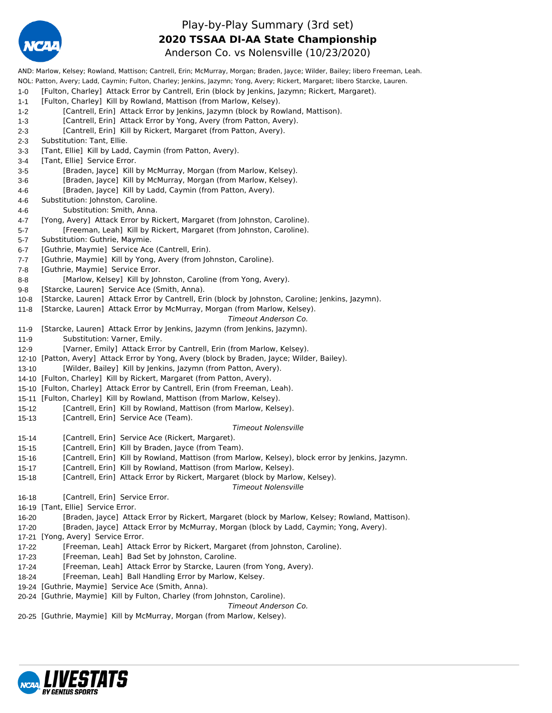

### Play-by-Play Summary (3rd set) **2020 TSSAA DI-AA State Championship**

Anderson Co. vs Nolensville (10/23/2020) AND: Marlow, Kelsey; Rowland, Mattison; Cantrell, Erin; McMurray, Morgan; Braden, Jayce; Wilder, Bailey; libero Freeman, Leah. NOL: Patton, Avery; Ladd, Caymin; Fulton, Charley; Jenkins, Jazymn; Yong, Avery; Rickert, Margaret; libero Starcke, Lauren. 1-0 [Fulton, Charley] Attack Error by Cantrell, Erin (block by Jenkins, Jazymn; Rickert, Margaret). 1-1 [Fulton, Charley] Kill by Rowland, Mattison (from Marlow, Kelsey). 1-2 [Cantrell, Erin] Attack Error by Jenkins, Jazymn (block by Rowland, Mattison). 1-3 [Cantrell, Erin] Attack Error by Yong, Avery (from Patton, Avery). 2-3 [Cantrell, Erin] Kill by Rickert, Margaret (from Patton, Avery). 2-3 Substitution: Tant, Ellie. 3-3 [Tant, Ellie] Kill by Ladd, Caymin (from Patton, Avery). 3-4 [Tant, Ellie] Service Error. 3-5 [Braden, Jayce] Kill by McMurray, Morgan (from Marlow, Kelsey). 3-6 [Braden, Jayce] Kill by McMurray, Morgan (from Marlow, Kelsey). 4-6 [Braden, Jayce] Kill by Ladd, Caymin (from Patton, Avery). 4-6 Substitution: Johnston, Caroline. 4-6 Substitution: Smith, Anna. 4-7 [Yong, Avery] Attack Error by Rickert, Margaret (from Johnston, Caroline). 5-7 [Freeman, Leah] Kill by Rickert, Margaret (from Johnston, Caroline). 5-7 Substitution: Guthrie, Maymie. 6-7 [Guthrie, Maymie] Service Ace (Cantrell, Erin). 7-7 [Guthrie, Maymie] Kill by Yong, Avery (from Johnston, Caroline). 7-8 [Guthrie, Maymie] Service Error. 8-8 [Marlow, Kelsey] Kill by Johnston, Caroline (from Yong, Avery). 9-8 [Starcke, Lauren] Service Ace (Smith, Anna). 10-8 [Starcke, Lauren] Attack Error by Cantrell, Erin (block by Johnston, Caroline; Jenkins, Jazymn). 11-8 [Starcke, Lauren] Attack Error by McMurray, Morgan (from Marlow, Kelsey). *Timeout Anderson Co.* 11-9 [Starcke, Lauren] Attack Error by Jenkins, Jazymn (from Jenkins, Jazymn). 11-9 Substitution: Varner, Emily. 12-9 [Varner, Emily] Attack Error by Cantrell, Erin (from Marlow, Kelsey). 12-10 [Patton, Avery] Attack Error by Yong, Avery (block by Braden, Jayce; Wilder, Bailey). 13-10 [Wilder, Bailey] Kill by Jenkins, Jazymn (from Patton, Avery). 14-10 [Fulton, Charley] Kill by Rickert, Margaret (from Patton, Avery). 15-10 [Fulton, Charley] Attack Error by Cantrell, Erin (from Freeman, Leah). 15-11 [Fulton, Charley] Kill by Rowland, Mattison (from Marlow, Kelsey). 15-12 [Cantrell, Erin] Kill by Rowland, Mattison (from Marlow, Kelsey). 15-13 [Cantrell, Erin] Service Ace (Team). *Timeout Nolensville* 15-14 [Cantrell, Erin] Service Ace (Rickert, Margaret). 15-15 [Cantrell, Erin] Kill by Braden, Jayce (from Team). 15-16 [Cantrell, Erin] Kill by Rowland, Mattison (from Marlow, Kelsey), block error by Jenkins, Jazymn. 15-17 [Cantrell, Erin] Kill by Rowland, Mattison (from Marlow, Kelsey). 15-18 [Cantrell, Erin] Attack Error by Rickert, Margaret (block by Marlow, Kelsey). *Timeout Nolensville* 16-18 **[Cantrell, Erin] Service Error.** 16-19 [Tant, Ellie] Service Error. 16-20 [Braden, Jayce] Attack Error by Rickert, Margaret (block by Marlow, Kelsey; Rowland, Mattison). 17-20 [Braden, Jayce] Attack Error by McMurray, Morgan (block by Ladd, Caymin; Yong, Avery). 17-21 [Yong, Avery] Service Error. 17-22 [Freeman, Leah] Attack Error by Rickert, Margaret (from Johnston, Caroline). 17-23 [Freeman, Leah] Bad Set by Johnston, Caroline. 17-24 [Freeman, Leah] Attack Error by Starcke, Lauren (from Yong, Avery). 18-24 [Freeman, Leah] Ball Handling Error by Marlow, Kelsey. 19-24 [Guthrie, Maymie] Service Ace (Smith, Anna). 20-24 [Guthrie, Maymie] Kill by Fulton, Charley (from Johnston, Caroline). *Timeout Anderson Co.*

20-25 [Guthrie, Maymie] Kill by McMurray, Morgan (from Marlow, Kelsey).

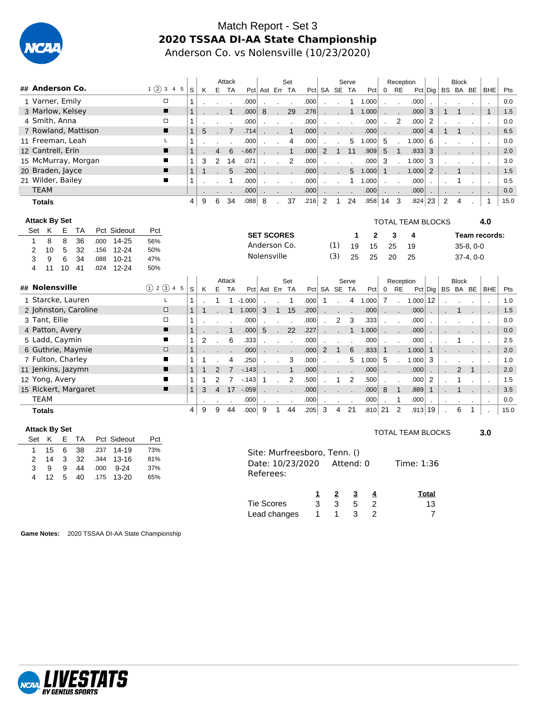

#### Match Report - Set 3 **2020 TSSAA DI-AA State Championship** Anderson Co. vs Nolensville (10/23/2020)

|                                        |         |              |   |                | Attack      |        |                   |              | Set            |      |              |                | Serve        |                |                      | Reception     |                          |           |         | <b>Block</b> |                 |                          |      |
|----------------------------------------|---------|--------------|---|----------------|-------------|--------|-------------------|--------------|----------------|------|--------------|----------------|--------------|----------------|----------------------|---------------|--------------------------|-----------|---------|--------------|-----------------|--------------------------|------|
| ## Anderson Co.                        | 1(2)345 | S.           | K |                | E TA        |        | Pct Ast Err TA    |              |                |      | Pct SA SE TA |                |              | Pct            | $\overline{0}$       | RE            |                          | Pct   Dig |         | BS BA BE     |                 | <b>BHE</b>               | Pts  |
| 1 Varner, Emily                        | $\Box$  |              |   |                |             | .000   |                   |              |                | .000 |              |                |              | 1.000          |                      | $\cdot$       | .000                     |           |         |              |                 |                          | 0.0  |
| 3 Marlow, Kelsey                       | П       |              |   |                |             | .000   | 8                 | $\mathbf{r}$ | 29             | .276 |              |                | $\mathbf{1}$ | 1.000          | $\ddot{\phantom{0}}$ | $\mathbf{r}$  | .000                     | 3         |         |              |                 | $\overline{1}$           | 1.5  |
| 4 Smith, Anna                          | □       |              |   |                |             | .000   |                   |              |                | .000 |              |                |              | .000           |                      | 2             | .000                     | 2         |         |              |                 |                          | 0.0  |
| 7 Rowland, Mattison                    | ▪       | $\mathbf{1}$ | 5 |                |             | .714   |                   |              |                | .000 |              |                |              | .000           |                      | $\mathbf{r}$  | .000                     | 4         |         |              |                 |                          | 6.5  |
| 11 Freeman, Leah                       |         |              |   |                |             | .000   |                   |              | 4              | .000 |              |                | 5            | 1.000          | 5                    |               | 1.000                    | 6         |         |              |                 | $\overline{\phantom{a}}$ | 0.0  |
| 12 Cantrell, Erin                      | ■       |              |   | $\overline{4}$ | 6           | $-667$ |                   |              | $\overline{1}$ | .000 | 2            | $\overline{1}$ | 11           | .909           | 5                    | $\mathbf{1}$  | .833                     | 3         |         |              |                 |                          | 2.0  |
| 15 McMurray, Morgan                    | ■       |              | 3 | 2              | 14          | .071   |                   |              | 2              | .000 |              |                |              | .000           | 3                    | $\sim$        | 1.000                    | 3         |         |              |                 |                          | 3.0  |
| 20 Braden, Jayce                       | ■       |              |   |                | $5^{\circ}$ | .200   |                   |              |                | .000 |              |                |              | $5 \t1.000$    | 1                    | $\mathbf{r}$  | 1.000                    | 2         | $\cdot$ |              |                 | $\sim$                   | 1.5  |
| 21 Wilder, Bailey                      | ■       |              |   |                |             | .000   |                   |              |                | .000 |              |                |              | 1.000          |                      | $\cdot$       | .000                     |           |         |              |                 |                          | 0.5  |
| <b>TEAM</b>                            |         |              |   |                |             | .000   | $\sim$            | $\sim$       |                | .000 | $\sim$       |                |              | .000           | $\ddot{\phantom{0}}$ | $\mathcal{L}$ | .000                     | $\cdot$   | $\sim$  |              |                 |                          | 0.0  |
| Totals                                 |         | 4            | 9 | 6              | 34          | 880.   | 8                 | ÷.           | 37             | .216 | 2            | $\mathbf{1}$   | 24           | .958           | 14                   | 3             | .824                     | 23        | 2       | 4            |                 | $\mathbf 1$              | 15.0 |
|                                        |         |              |   |                |             |        |                   |              |                |      |              |                |              |                |                      |               |                          |           |         |              |                 |                          |      |
| <b>Attack By Set</b>                   |         |              |   |                |             |        |                   |              |                |      |              |                |              |                |                      |               | <b>TOTAL TEAM BLOCKS</b> |           |         |              |                 | 4.0                      |      |
| TA<br>Pct Sideout<br>E.<br>Set<br>K    | Pct     |              |   |                |             |        | <b>SET SCORES</b> |              |                |      |              |                | 1            | $\mathbf{2}$   |                      | 3             | 4                        |           |         |              |                 | Team records:            |      |
| 36<br>8<br>8<br>$14 - 25$<br>1<br>.000 | 56%     |              |   |                |             |        | Anderson Co       |              |                |      |              | (1)            | 10.          | 1 <sub>E</sub> | OF.                  |               | 10                       |           |         |              | <b>25 Q O O</b> |                          |      |

|   |                      |    |    |      |           |               |   |   |                |                |                   | <b>SET SCORES</b> |              |              |      |   |                      |       | $\mathbf{2}$ |             | 3                                                         |       |                       |              |             | Team records: |      |
|---|----------------------|----|----|------|-----------|---------------|---|---|----------------|----------------|-------------------|-------------------|--------------|--------------|------|---|----------------------|-------|--------------|-------------|-----------------------------------------------------------|-------|-----------------------|--------------|-------------|---------------|------|
|   | 8                    | 8  | 36 | .000 | $14 - 25$ | 56%           |   |   |                |                |                   | Anderson Co.      |              |              |      |   | (1)                  | 19    | 15           |             | 25                                                        | 19    |                       |              | $35-8, 0-0$ |               |      |
| 2 | 10                   | 5  | 32 | .156 | $12 - 24$ | 50%           |   |   |                |                |                   |                   |              |              |      |   |                      |       |              |             |                                                           |       |                       |              |             |               |      |
| 3 | 9                    | 6  | 34 | .088 | $10 - 21$ | 47%           |   |   |                |                |                   | Nolensville       |              |              |      |   | (3)                  | 25    | 25           |             | 20                                                        | 25    |                       |              | $37-4, 0-0$ |               |      |
| 4 | 11                   | 10 | 41 | .024 | $12 - 24$ | 50%           |   |   |                |                |                   |                   |              |              |      |   |                      |       |              |             |                                                           |       |                       |              |             |               |      |
|   |                      |    |    |      |           |               |   |   |                | Attack         |                   |                   |              | Set          |      |   |                      | Serve |              |             | Reception                                                 |       |                       | <b>Block</b> |             |               |      |
|   | ## Nolensville       |    |    |      |           | (1) 2 (3) 4 5 | S | K |                | E TA           |                   | Pct Ast Err TA    |              |              |      |   | Pct SA SE TA         |       | Pct          | $\mathbf 0$ | RE                                                        |       | $Pct $ Dig   BS BA BE |              |             | BHE           | Pts  |
|   | 1 Starcke, Lauren    |    |    |      |           |               |   |   |                |                | $-1.000$          |                   |              | 1            | .000 | 1 |                      | 4     | 1.000        | 7           | $\mathbf{r}$                                              | 1.000 | 12                    |              |             |               | 1.0  |
|   | 2 Johnston, Caroline |    |    |      |           | $\Box$        |   |   |                | 1              | 1.000             | 3                 | $\mathbf{1}$ | 15           | .200 |   |                      |       | .000         |             | $\mathcal{L}^{\text{max}}$ and $\mathcal{L}^{\text{max}}$ | .000  |                       |              |             |               | 1.5  |
|   | 3 Tant, Ellie        |    |    |      |           | $\Box$        |   |   |                |                | .000              |                   |              |              | .000 |   | $\mathbf{2}^{\circ}$ | 3     | .333         |             | $\cdot$                                                   | .000  |                       |              |             |               | 0.0  |
|   | 4 Patton, Avery      |    |    |      |           | п             |   |   |                |                | .000              | 5                 |              | 22           | .227 |   |                      |       | 1.000        |             | $\mathcal{L}^{\text{max}}$ .                              | .000  |                       |              |             |               | 0.0  |
|   | 5 Ladd, Caymin       |    |    |      |           | ш             |   |   |                | 6              | .333              |                   |              |              | .000 |   |                      |       | .000         |             |                                                           | .000  |                       |              |             |               | 2.5  |
|   | 6 Guthrie, Maymie    |    |    |      |           | $\Box$        |   |   |                |                | .000              |                   |              |              | .000 | 2 | $\overline{1}$       | 6     | .833         | 1           |                                                           | 1.000 | $\mathbf{1}$          |              |             |               | 2.0  |
|   | 7 Fulton, Charley    |    |    |      |           |               |   |   |                | 4              | .250              |                   |              | 3            | .000 |   |                      | 5     | 1.000        | -5          |                                                           | 1.000 | 3                     |              |             |               | 1.0  |
|   | 11 Jenkins, Jazymn   |    |    |      |           | п             |   |   |                | $\overline{7}$ | $-143$            |                   |              | $\mathbf{1}$ | .000 |   |                      |       | .000         | $\cdot$     |                                                           | .000  |                       | 2            |             |               | 2.0  |
|   | 12 Yong, Avery       |    |    |      |           |               |   |   | $\mathcal{P}$  |                | $-143$            | 1                 |              | 2            | .500 |   |                      | 2     | .500         |             |                                                           | .000  | 2                     |              |             |               | 1.5  |
|   | 15 Rickert, Margaret |    |    |      |           | ▪             |   | 3 | $\overline{4}$ | 17             | $-.059$           |                   |              |              | .000 |   |                      |       | .000         | 8           |                                                           | .889  |                       |              |             |               | 3.5  |
|   | <b>TEAM</b>          |    |    |      |           |               |   |   |                |                | .000              |                   |              |              | .000 |   |                      |       | .000         |             |                                                           | .000  |                       |              |             |               | 0.0  |
|   | <b>Totals</b>        |    |    |      |           |               | 4 | 9 | 9              | 44             | .000 <sub>1</sub> | 9                 |              | 44           | .205 | 3 | 4                    | 21    | .810 21      |             | 2                                                         | .913  | 19                    | 6            |             |               | 15.0 |

3.0

| <b>Attack By Set</b> |    |   |    |      |             |     |                              |   |   |           |                | TOTAL TEAM BLOCKS |
|----------------------|----|---|----|------|-------------|-----|------------------------------|---|---|-----------|----------------|-------------------|
| Set K                |    | E | TA |      | Pct Sideout | Pct |                              |   |   |           |                |                   |
|                      | 15 | 6 | 38 | .237 | 14-19       | 73% | Site: Murfreesboro, Tenn. () |   |   |           |                |                   |
| $\mathcal{P}$        | 14 | 3 | 32 | .344 | $13 - 16$   | 81% |                              |   |   | Attend: 0 |                | Time: 1:36        |
| 3                    | 9  | 9 | 44 | .000 | $9 - 24$    | 37% | Date: 10/23/2020             |   |   |           |                |                   |
| 4                    | 12 | 5 | 40 | .175 | $13 - 20$   | 65% | Referees:                    |   |   |           |                |                   |
|                      |    |   |    |      |             |     |                              |   | 2 | 3         | 4              | Total             |
|                      |    |   |    |      |             |     | <b>Tie Scores</b>            | 3 | 3 | 5         | $\overline{2}$ | 13                |
|                      |    |   |    |      |             |     | Lead changes                 |   | 1 | 3         | $\overline{2}$ | 7                 |

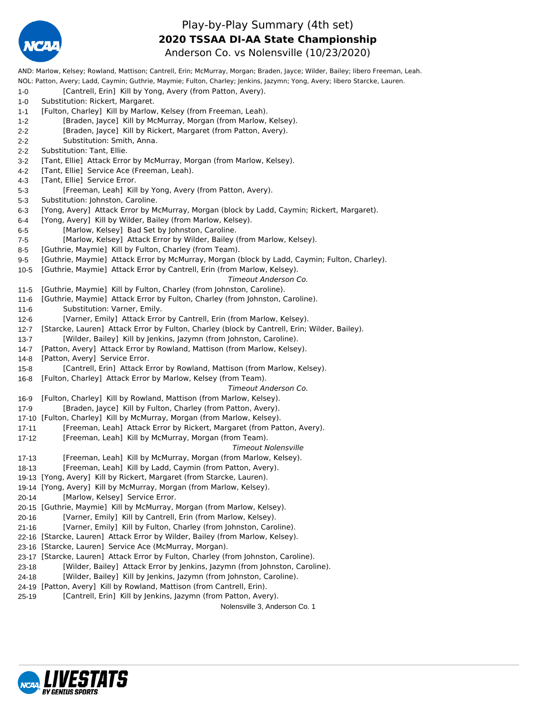

#### Play-by-Play Summary (4th set) Anderson Co. vs Nolensville (10/23/2020) **2020 TSSAA DI-AA State Championship**

AND: Marlow, Kelsey; Rowland, Mattison; Cantrell, Erin; McMurray, Morgan; Braden, Jayce; Wilder, Bailey; libero Freeman, Leah. NOL: Patton, Avery; Ladd, Caymin; Guthrie, Maymie; Fulton, Charley; Jenkins, Jazymn; Yong, Avery; libero Starcke, Lauren. 1-0 [Cantrell, Erin] Kill by Yong, Avery (from Patton, Avery). 1-0 Substitution: Rickert, Margaret. 1-1 [Fulton, Charley] Kill by Marlow, Kelsey (from Freeman, Leah). 1-2 [Braden, Jayce] Kill by McMurray, Morgan (from Marlow, Kelsey). 2-2 [Braden, Jayce] Kill by Rickert, Margaret (from Patton, Avery). 2-2 Substitution: Smith, Anna. 2-2 Substitution: Tant, Ellie. 3-2 [Tant, Ellie] Attack Error by McMurray, Morgan (from Marlow, Kelsey). 4-2 [Tant, Ellie] Service Ace (Freeman, Leah). 4-3 [Tant, Ellie] Service Error. 5-3 [Freeman, Leah] Kill by Yong, Avery (from Patton, Avery). 5-3 Substitution: Johnston, Caroline. 6-3 [Yong, Avery] Attack Error by McMurray, Morgan (block by Ladd, Caymin; Rickert, Margaret). 6-4 [Yong, Avery] Kill by Wilder, Bailey (from Marlow, Kelsey). 6-5 [Marlow, Kelsey] Bad Set by Johnston, Caroline. 7-5 [Marlow, Kelsey] Attack Error by Wilder, Bailey (from Marlow, Kelsey). 8-5 [Guthrie, Maymie] Kill by Fulton, Charley (from Team). 9-5 [Guthrie, Maymie] Attack Error by McMurray, Morgan (block by Ladd, Caymin; Fulton, Charley). 10-5 [Guthrie, Maymie] Attack Error by Cantrell, Erin (from Marlow, Kelsey). *Timeout Anderson Co.* 11-5 [Guthrie, Maymie] Kill by Fulton, Charley (from Johnston, Caroline). 11-6 [Guthrie, Maymie] Attack Error by Fulton, Charley (from Johnston, Caroline). 11-6 Substitution: Varner, Emily. 12-6 [Varner, Emily] Attack Error by Cantrell, Erin (from Marlow, Kelsey). 12-7 [Starcke, Lauren] Attack Error by Fulton, Charley (block by Cantrell, Erin; Wilder, Bailey). 13-7 [Wilder, Bailey] Kill by Jenkins, Jazymn (from Johnston, Caroline). 14-7 [Patton, Avery] Attack Error by Rowland, Mattison (from Marlow, Kelsey). 14-8 [Patton, Avery] Service Error. 15-8 [Cantrell, Erin] Attack Error by Rowland, Mattison (from Marlow, Kelsey). 16-8 [Fulton, Charley] Attack Error by Marlow, Kelsey (from Team). *Timeout Anderson Co.* 16-9 [Fulton, Charley] Kill by Rowland, Mattison (from Marlow, Kelsey). 17-9 [Braden, Jayce] Kill by Fulton, Charley (from Patton, Avery). 17-10 [Fulton, Charley] Kill by McMurray, Morgan (from Marlow, Kelsey). 17-11 [Freeman, Leah] Attack Error by Rickert, Margaret (from Patton, Avery). 17-12 [Freeman, Leah] Kill by McMurray, Morgan (from Team). *Timeout Nolensville* 17-13 [Freeman, Leah] Kill by McMurray, Morgan (from Marlow, Kelsey). 18-13 [Freeman, Leah] Kill by Ladd, Caymin (from Patton, Avery). 19-13 [Yong, Avery] Kill by Rickert, Margaret (from Starcke, Lauren). 19-14 [Yong, Avery] Kill by McMurray, Morgan (from Marlow, Kelsey). 20-14 [Marlow, Kelsey] Service Error. 20-15 [Guthrie, Maymie] Kill by McMurray, Morgan (from Marlow, Kelsey). 20-16 [Varner, Emily] Kill by Cantrell, Erin (from Marlow, Kelsey). 21-16 [Varner, Emily] Kill by Fulton, Charley (from Johnston, Caroline). 22-16 [Starcke, Lauren] Attack Error by Wilder, Bailey (from Marlow, Kelsey). 23-16 [Starcke, Lauren] Service Ace (McMurray, Morgan). 23-17 [Starcke, Lauren] Attack Error by Fulton, Charley (from Johnston, Caroline). 23-18 [Wilder, Bailey] Attack Error by Jenkins, Jazymn (from Johnston, Caroline). 24-18 [Wilder, Bailey] Kill by Jenkins, Jazymn (from Johnston, Caroline). 24-19 [Patton, Avery] Kill by Rowland, Mattison (from Cantrell, Erin). 25-19 [Cantrell, Erin] Kill by Jenkins, Jazymn (from Patton, Avery). Nolensville 3, Anderson Co. 1

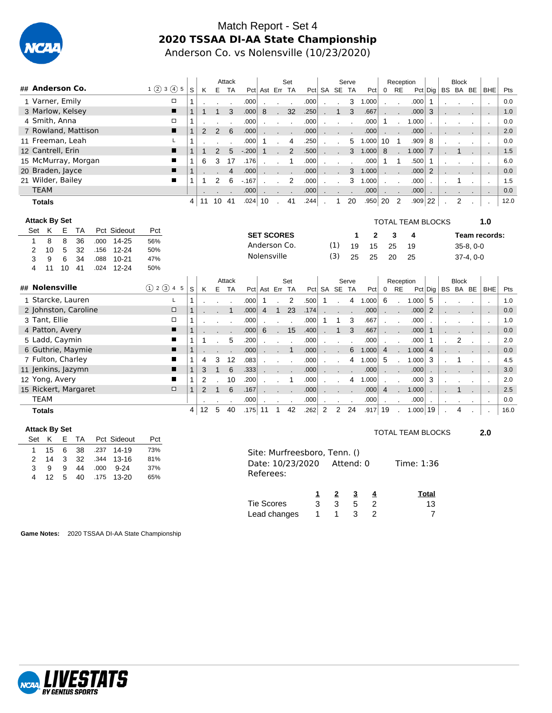

#### Match Report - Set 4 **2020 TSSAA DI-AA State Championship** Anderson Co. vs Nolensville (10/23/2020)

|                     |                      |    |                     |      |             |                 |                |                |    |    | Attack |        |                   |                      | Set            |      |         |                           | Serve                    |              |                           | Reception                 |                          |                |                 | <b>Block</b> |               |                          |      |
|---------------------|----------------------|----|---------------------|------|-------------|-----------------|----------------|----------------|----|----|--------|--------|-------------------|----------------------|----------------|------|---------|---------------------------|--------------------------|--------------|---------------------------|---------------------------|--------------------------|----------------|-----------------|--------------|---------------|--------------------------|------|
| ## Anderson Co.     |                      |    |                     |      |             | $1$ (2) 3 (4) 5 |                | S              | K  |    | E TA   |        |                   |                      | Pct Ast Err TA |      |         | Pct SA SE TA              |                          | Pct          | $\mathbf 0$               | RE                        |                          | $Pct $ Dig $ $ |                 | BS BA BE     |               | <b>BHE</b>               | Pts  |
|                     | 1 Varner, Emily      |    |                     |      |             |                 | □              |                |    |    |        | .000   |                   |                      |                | .000 |         |                           | 3                        | 1.000        |                           | $\cdot$                   | .000                     |                |                 |              |               |                          | 0.0  |
|                     |                      |    | 3 Marlow, Kelsey    |      |             |                 | $\blacksquare$ |                |    |    | 3      | .000   | 8                 | C.                   | 32             | .250 |         | $\mathbf{1}$              | $\mathbf{3}$             | .667         | $\mathbf{r}$              | $\mathbf{r}$              | .000                     | 3              |                 |              |               | $\sim$                   | 1.0  |
|                     | 4 Smith, Anna        |    |                     |      |             |                 | □              |                |    |    |        | .000   |                   | $\sim 10^{-1}$       | $\sim$         | .000 | $\cdot$ |                           | $\overline{\phantom{a}}$ | .000         | -1                        | $\mathbf{r}$              | 1.000                    |                |                 |              |               | $\cdot$                  | 0.0  |
|                     |                      |    | 7 Rowland, Mattison |      |             |                 | п              |                | 2  | 2  | 6      | .000   |                   | $\sim$ $\sim$        | $\sim$         | .000 | $\sim$  |                           |                          | .000         | $\mathbf{r} = \mathbf{r}$ |                           | .000                     |                |                 |              |               |                          | 2.0  |
| 11 Freeman, Leah    |                      |    |                     |      |             |                 | Г              |                |    |    |        | .000   | 1                 |                      | 4              | .250 |         |                           | 5                        | 1.000        | 10                        | -1                        | .909                     | 8              |                 |              |               | $\overline{\phantom{a}}$ | 0.0  |
| 12 Cantrell, Erin   |                      |    |                     |      |             |                 | п              |                |    | 2  | 5      | $-200$ |                   |                      | 2              | .500 | $\sim$  |                           | 3                        | 1.000        | 8                         | $\mathbf{r}$              | 1.000                    | $\mathbf{7}$   | <b>Contract</b> |              | $\sim$        | $\sim$                   | 1.5  |
| 15 McMurray, Morgan |                      |    |                     |      |             |                 | ш              |                | 6  | 3  | 17     | .176   |                   |                      |                | .000 |         |                           |                          | .000         | 1                         | 1                         | .500                     |                |                 |              |               | $\cdot$                  | 6.0  |
| 20 Braden, Jayce    |                      |    |                     |      |             |                 | $\blacksquare$ |                |    |    | 4      | .000   |                   | and the control of   |                | .000 |         | $\mathbf{r} = \mathbf{r}$ | 3 <sup>1</sup>           | 1.000        |                           | $\mathbf{r} = \mathbf{r}$ | .000                     | 2              |                 |              | $\sim$ $\sim$ |                          | 0.0  |
| 21 Wilder, Bailey   |                      |    |                     |      |             |                 | ш              |                |    | 2  | 6      | $-167$ |                   |                      | 2              | .000 |         |                           | 3                        | 1.000        |                           | $\cdot$                   | .000                     |                |                 |              |               | $\overline{\phantom{a}}$ | 1.5  |
|                     | <b>TEAM</b>          |    |                     |      |             |                 |                |                |    |    |        | .000   | $\sim$            | $\ddot{\phantom{a}}$ |                | .000 | $\sim$  |                           |                          | .000         | $\cdot$                   | $\blacksquare$            | .000                     |                | $\sim$          |              |               |                          | 0.0  |
|                     | <b>Totals</b>        |    |                     |      |             |                 |                | 4 <sup>1</sup> | 11 | 10 | -41    | .024   | 10                |                      | 41             | .244 |         | $\mathbf{1}$              | 20                       | .950         | 20                        | 2                         | .909                     | 22             |                 | 2            |               |                          | 12.0 |
|                     |                      |    |                     |      |             |                 |                |                |    |    |        |        |                   |                      |                |      |         |                           |                          |              |                           |                           |                          |                |                 |              |               |                          |      |
|                     | <b>Attack By Set</b> |    |                     |      |             |                 |                |                |    |    |        |        |                   |                      |                |      |         |                           |                          |              |                           |                           | <b>TOTAL TEAM BLOCKS</b> |                |                 |              |               | 1.0                      |      |
| Set                 | K                    | E. | TA                  |      | Pct Sideout | Pct             |                |                |    |    |        |        | <b>SET SCORES</b> |                      |                |      |         |                           | 1                        | $\mathbf{2}$ |                           | 3                         | 4                        |                |                 |              |               | Team records:            |      |
| 1                   | 8                    | 8  | 36                  | .000 | $14 - 25$   | 56%             |                |                |    |    |        |        | Anderson Co.      |                      |                |      |         | (1)                       |                          |              |                           |                           |                          |                |                 |              |               |                          |      |
| 2                   | 10                   | 5  | 32                  | .156 | $12 - 24$   | 50%             |                |                |    |    |        |        |                   |                      |                |      |         |                           | 19                       | 15           | 25                        |                           | 19                       |                |                 |              | $35-8, 0-0$   |                          |      |
| 3                   | 9                    | 6  | 34                  | .088 | $10 - 21$   | 47%             |                |                |    |    |        |        | Nolensville       |                      |                |      |         | (3)                       | 25                       | 25           | 20                        |                           | 25                       |                |                 |              | $37-4, 0-0$   |                          |      |
| 4                   | 11                   | 10 | 41                  | .024 | $12 - 24$   | 50%             |                |                |    |    |        |        |                   |                      |                |      |         |                           |                          |              |                           |                           |                          |                |                 |              |               |                          |      |

|                      |                |   |    |    | Attack            |      |                |            | Set    |                   |              |                            | Serve  |       |                | Reception            |                   |                 |        | <b>Block</b> |        |      |
|----------------------|----------------|---|----|----|-------------------|------|----------------|------------|--------|-------------------|--------------|----------------------------|--------|-------|----------------|----------------------|-------------------|-----------------|--------|--------------|--------|------|
| ## Nolensville       | (1) 2 (3) 4 5  | S | K  | E. | <b>TA</b>         | Pct  |                | Ast Err TA |        |                   | Pct SA SE    |                            | TA     | Pct   | 0              | RE                   |                   | $Pct  $ Dig $ $ | BS     | BA BE        | BHE    | Pts  |
| 1 Starcke, Lauren    | ц.             |   |    |    |                   | .000 |                |            | 2      | .500 <sub>1</sub> |              |                            | 4      | 1.000 | 6              |                      | 1.000             | 5               |        |              |        | 1.0  |
| 2 Johnston, Caroline | $\Box$         |   |    |    |                   | .000 | $\overline{4}$ | 1          | 23     | .174              |              |                            |        | .000  | $\cdot$        | $\ddot{\phantom{0}}$ | .000              | 2               |        |              |        | 0.0  |
| 3 Tant, Ellie        | $\Box$         |   |    |    |                   | .000 |                |            |        | .000              |              |                            | 3      | .667  |                | $\cdot$              | .000              |                 |        |              |        | 1.0  |
| 4 Patton, Avery      | $\blacksquare$ |   |    |    |                   | .000 | 6              |            | 15     | .400              |              |                            | 3      | .667  | $\mathbf{r}$   | $\mathbf{r}$         | .000              |                 |        |              |        | 0.0  |
| 5 Ladd, Caymin       | п              |   |    |    | 5                 | .200 |                |            |        | .000              |              |                            |        | .000  |                | $\mathbf{r}$         | .000              |                 |        | 2            |        | 2.0  |
| 6 Guthrie, Maymie    | п              |   |    |    |                   | .000 |                |            |        | .000              | $\mathbf{r}$ | $\mathbf{r}$               | 6      | 1.000 | $\overline{4}$ | $\mathbf{r}$         | 1.000             | $\overline{4}$  |        |              |        | 0.0  |
| 7 Fulton, Charley    | $\blacksquare$ |   | 4  | 3  | $12 \overline{ }$ | .083 |                |            |        | .000              |              |                            | 4      | 1.000 | 5              |                      | 1.000             | 3               |        |              |        | 4.5  |
| 11 Jenkins, Jazymn   | п              |   | 3  |    | 6                 | .333 |                |            |        | .000              | $\sim$       | $\sim$ . The set of $\sim$ | - 7    | .000  | $\sim$         | $\sim$               | .000              | $\cdot$         | $\sim$ |              | $\sim$ | 3.0  |
| 12 Yong, Avery       | п.             |   |    |    | 10                | .200 |                |            |        | .000              |              |                            | 4      | 1.000 |                | $\cdot$              | .000 <sub>1</sub> | 3               |        |              |        | 2.0  |
| 15 Rickert, Margaret | $\Box$         |   |    |    | 6                 | .167 |                |            |        | .000              |              |                            | $\sim$ | .000  | 4              | $\cdot$              | 1.000             |                 |        |              |        | 2.5  |
| TEAM                 |                |   |    |    |                   | .000 |                |            | $\sim$ | .000              |              |                            | $\sim$ | .000  |                | $\overline{a}$       | .000              | $\cdot$         | $\sim$ |              |        | 0.0  |
| <b>Totals</b>        |                | 4 | 12 | 5  | 40                | .175 | 11             |            | 42     | .262              | 2            | 2                          | 24     | .917  | 19             |                      | 1.000             | 19              |        | 4            |        | 16.0 |

| <b>Attack By Set</b> |    |   |      |      |             |     | <b>TOTAL TEAM BLOCKS</b>                    | 2.0 |
|----------------------|----|---|------|------|-------------|-----|---------------------------------------------|-----|
| Set K                |    |   | E TA |      | Pct Sideout | Pct |                                             |     |
|                      | 15 | 6 | 38   | .237 | 14-19       | 73% | Site: Murfreesboro, Tenn. ()                |     |
| 2                    | 14 | 3 | 32   | .344 | 13-16       | 81% |                                             |     |
| 3                    | 9  | 9 | 44   | .000 | $9 - 24$    | 37% | Date: 10/23/2020<br>Time: 1:36<br>Attend: 0 |     |
| 4                    | 12 | 5 | 40   | .175 | 13-20       | 65% | Referees:                                   |     |
|                      |    |   |      |      |             |     | Total<br>$\overline{2}$<br>3<br>1<br>-4     |     |
|                      |    |   |      |      |             |     | Tie Scores<br>3<br>5<br>3<br>13<br>- 2      |     |
|                      |    |   |      |      |             |     | 7<br>3<br>Lead changes<br>$\overline{2}$    |     |
|                      |    |   |      |      |             |     |                                             |     |

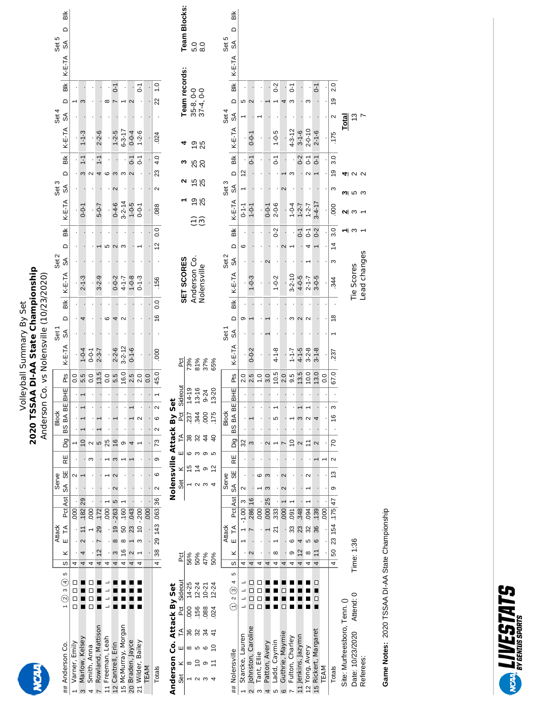### Volleyball Summary By Set<br>2020 TSSAA DI-AA State Championship<br>Anderson Co. vs Nolensville (10/23/2020) **2020 TSSAA DI-AA State Championship** Anderson Co. vs Nolensville (10/23/2020) Volleyball Summary By Set

|                          |                                          |                         |                 | <b>Attack</b>             |                    |                      | Serve             |                |    |                             | <b>Block</b> |     |                  |                       | .<br>Sei |                                     |             | Set 2 |                   |                       | Set 3  |                 |                |                          |                     | Set 5       |     |
|--------------------------|------------------------------------------|-------------------------|-----------------|---------------------------|--------------------|----------------------|-------------------|----------------|----|-----------------------------|--------------|-----|------------------|-----------------------|----------|-------------------------------------|-------------|-------|-------------------|-----------------------|--------|-----------------|----------------|--------------------------|---------------------|-------------|-----|
| ## Anderson Co.          | $1(2)3(4)5$ S $ S $ K E TA Pat Ast SA SE |                         |                 |                           |                    |                      |                   | RE             |    | Dig BS BA BE                |              | BHE | Pts              | K-E-TA SA D BIK       |          |                                     |             |       | $K-E-TA$ SA D Blk |                       |        | K-E-TA SA D BIK |                | Set 4<br>K-E-TA SA D BIK |                     | K-E-TA SA D | Blk |
| 1 Varner, Emily          | 8888                                     | 4                       |                 |                           | $\frac{1}{1}$ 000. |                      |                   |                |    |                             |              |     | oo               |                       |          |                                     |             |       |                   |                       |        |                 |                |                          |                     |             |     |
| Marlow, Kelsey<br>$\sim$ |                                          | 4                       | 4               | 2 11 182 29               |                    |                      |                   |                |    |                             |              |     | 5.5              | $1 - 0 - 4$           |          |                                     | $2 - 1 - 3$ |       |                   | $-0-0$                |        |                 | $\frac{1}{2}$  | $1 - 1 - 3$              |                     |             |     |
| Smith, Anna              |                                          | 4                       |                 |                           | $\overline{50}$    |                      |                   |                |    |                             |              |     | O.O              | $0 - 0 - 1$<br>2-3-7  |          |                                     |             |       |                   |                       |        |                 |                |                          |                     |             |     |
| Rowland, Mattison        | =<br>=                                   | $\overline{4}$          | $12 \t 7 \t 29$ |                           | $.172$ .           | <b>.</b>             |                   |                | 5  |                             |              |     | 13.5             |                       |          |                                     | $3 - 2 - 9$ |       |                   | $5 - 0 - 7$           |        |                 | $\overline{1}$ | $2 - 2 - 6$              |                     |             |     |
| 11 Freeman, Leah         |                                          | 4                       |                 |                           | $000$ 1            |                      |                   |                | 25 |                             |              |     | $\overline{0}$ . |                       |          |                                     |             |       |                   |                       |        |                 |                |                          |                     |             |     |
| 12 Cantrell, Erin        |                                          | 4                       |                 | $3 \t 8 \t 19 - 263 \t 5$ |                    | $\sim$               | $\mathbf{\Omega}$ | S              | 16 |                             |              |     | 5.5              | $2 - 2 - 6$           |          |                                     | $0 - 0 - 2$ |       |                   | $0 - 4 - 6$           |        |                 |                | $1 - 2 - 5$              | $\overline{0}$ -    |             |     |
| 15 McMurray, Morgan      |                                          | $\overline{\mathbf{f}}$ |                 | 16 8 50 .160 1            |                    |                      |                   |                |    |                             |              |     | 16.0             |                       |          |                                     |             |       |                   | $3 - 2 - 14$<br>1-0-5 |        |                 |                | $6 - 3 - 17$             |                     |             |     |
| 20 Braden, Jayce         | -<br>-                                   | 4                       | $\sim$          | 1 23 .043                 |                    |                      |                   |                |    |                             |              |     | 2.5              | $3 - 2 - 12$<br>0-1-6 |          |                                     | $4 - 1 - 8$ |       |                   |                       |        |                 | $0 - 1$        | $0 - 0 - 4$              |                     |             |     |
| 21 Wilder, Bailey        |                                          | 4                       |                 | $3 \t10 - 200$            |                    | $\ddot{\phantom{0}}$ |                   |                |    |                             |              |     | 2.0              |                       |          |                                     | $0 - 1 - 3$ |       |                   | $-0-1$                |        |                 | 5              | $1 - 2 - 6$              | ā                   |             |     |
| <b>TEAM</b>              |                                          |                         |                 |                           | $\overline{1000}$  | <b>.</b>             |                   |                |    |                             |              |     | 0.0              |                       |          |                                     |             |       |                   |                       |        |                 |                |                          |                     |             |     |
| Totals                   |                                          |                         |                 | 4 38 29 143 063 36 2      |                    |                      | $\circ$           | $\overline{9}$ |    | $73 \mid 2 \quad 6 \quad 2$ |              |     | 45.0             | 000                   |          | $\overline{0}$ .<br>$\frac{16}{16}$ | .156        |       | 1200              | .088                  | $\sim$ |                 | 23 4.0         | .024                     | $\frac{0}{1}$<br>22 |             |     |
|                          |                                          |                         |                 |                           |                    |                      |                   |                |    |                             |              |     |                  |                       |          |                                     |             |       |                   |                       |        |                 |                |                          |                     |             |     |

| Totals                       |                                                   |                              |                | $4$ 38 29 143 063 36 2                                     |                          | $\overline{6}$            | <b>თ</b> | $\sim$<br> 73 | $\mathbf{\Omega}$<br>$^{\circ}$ |           | 45.0          | .000              |                  | 0.0<br>$\frac{6}{2}$      | .156                 |                  | $\approx$     | $\overline{0.0}$  | .088        | $\sim$        | 23 4.0                          | .024         |                 | 22 1.0                       |        |            |                     |
|------------------------------|---------------------------------------------------|------------------------------|----------------|------------------------------------------------------------|--------------------------|---------------------------|----------|---------------|---------------------------------|-----------|---------------|-------------------|------------------|---------------------------|----------------------|------------------|---------------|-------------------|-------------|---------------|---------------------------------|--------------|-----------------|------------------------------|--------|------------|---------------------|
| Anderson Co. Attack By Set   |                                                   |                              |                |                                                            |                          | Nolensville Attack By Set |          |               |                                 |           |               |                   |                  |                           |                      |                  |               |                   |             |               |                                 |              |                 |                              |        |            |                     |
| F<br>ш<br>$\times$<br>Set    | Pct Sideout                                       | č                            |                |                                                            |                          | $\times$<br>Set           | ш        | 14<br>F       | ĕ                               | Sideout   |               | ĕ                 |                  |                           |                      | SET SCORES       |               |                   |             |               |                                 |              |                 | Team records:                |        |            | <b>Team Blocks:</b> |
| $\frac{8}{2}$<br>36<br>∞     | 14-25                                             | 56%                          |                |                                                            |                          |                           |          | 38            | 237                             | $14 - 19$ |               |                   |                  |                           |                      |                  |               |                   |             |               |                                 |              |                 |                              |        |            |                     |
| 156                          | $12 - 24$                                         | 50%<br>47%                   |                |                                                            |                          |                           |          |               | 344                             | $13 - 16$ |               | 73%<br>81%<br>37% |                  |                           |                      | Anderson Co.     |               | <u>ວົລ</u>        | 98          | 15<br>25      | 88                              | 98           |                 | $35-8$ , 0-0<br>$37-4$ , 0-0 |        | 5.0<br>5.0 |                     |
| 088                          | $10 - 21$                                         |                              |                |                                                            |                          |                           |          |               | $\frac{000}{2}$                 | $9 - 24$  |               |                   |                  |                           | Nolensville          |                  |               |                   |             |               |                                 |              |                 |                              |        |            |                     |
| 024                          | $12 - 24$                                         | 50%                          |                |                                                            |                          |                           |          |               | 175                             | $13 - 20$ |               | 65%               |                  |                           |                      |                  |               |                   |             |               |                                 |              |                 |                              |        |            |                     |
|                              |                                                   |                              | <b>Attack</b>  |                                                            |                          | Serve                     |          |               | <b>Block</b>                    |           |               |                   | Set <sub>1</sub> |                           |                      | Set <sub>2</sub> |               |                   |             | Set 3         |                                 |              | Set 4           |                              |        | Set 5      |                     |
| ## Nolensville               | $\overline{5}$<br>$\binom{1}{1}$ 2 $\binom{3}{4}$ | ×<br>S                       | $\overline{u}$ | $\tilde{E}$                                                | Pat Ast SA               | ₩                         | RE       | Dig           | BS BA BI                        | EBHE      | Pts           | K-E-TA            | SÃ               | $\frac{1}{2}$<br>$\Omega$ | K-E-TA               | SÁ               | $\sim$        | $\frac{1}{100}$   | K-E-TA      | SÃ            | $\frac{1}{2}$<br>$\overline{a}$ | K-E-TA       | S               | ă<br>≏                       | K-E-TA | ଋ          | БĬК<br>$\mathbf{a}$ |
| Starcke, Lauren              |                                                   | 4                            |                | $-1.0013$                                                  | $\scriptstyle\mathtt{N}$ |                           |          | 32            |                                 |           | 2.0           |                   |                  | თ                         |                      |                  | 6             |                   | $0 - 1 - 1$ | $\frac{1}{2}$ |                                 |              |                 |                              |        |            |                     |
| Johnston, Caroline           | $\Box$<br>$\Box$                                  | $\sim$<br>4                  |                | .286 16                                                    |                          |                           |          | 3             |                                 |           | 2.5           | $0 - 0 - 2$       |                  |                           | $-0-3$               |                  |               |                   | $1 - 0 - 1$ |               | 5                               | $0 - 0 - 1$  |                 |                              |        |            |                     |
| Tant, Ellie                  | □<br>$\Box$<br>$\Box$<br>$\Box$                   | 4                            |                | $\overline{000}$                                           |                          | ശ                         |          |               |                                 |           | $\frac{0}{1}$ |                   |                  |                           |                      |                  |               |                   |             |               |                                 |              |                 |                              |        |            |                     |
| Patton, Avery                |                                                   | 4                            |                | 000 25                                                     |                          | m                         |          |               |                                 |           | 3.0           |                   |                  |                           |                      | $\sim$           |               |                   | $0 - 0 - 1$ |               |                                 |              |                 |                              |        |            |                     |
| Ladd, Caymin<br>5            |                                                   | ∞<br>4                       | ᠷ              | 333                                                        |                          |                           |          |               | 5                               |           | 10.5          | $4 - 1 - 8$       |                  |                           | $1 - 0 - 2$          |                  |               | $0-2$             | $2 - 0 - 6$ |               | $\overline{0}$                  | $1 - 0 - 5$  |                 | $0-2$                        |        |            |                     |
| Guthrie, Maymie              |                                                   | 4                            |                | 000                                                        |                          |                           |          |               |                                 |           | 2.0           |                   |                  |                           |                      |                  |               |                   |             |               |                                 |              |                 |                              |        |            |                     |
| Fulton, Charley              |                                                   | ග<br>4                       |                | $\overline{5}$<br>೫                                        |                          |                           |          | ≘             |                                 |           | 9.5           | $1 - 1 - 7$       |                  | ო                         | $3 - 2 - 10$         |                  |               |                   | $1 - 0 - 4$ |               |                                 | $4 - 3 - 12$ |                 | 5<br>ო                       |        |            |                     |
| 11 Jenkins, Jazymn           |                                                   | $\overline{\mathbf{C}}$<br>4 |                | .348<br>23                                                 |                          |                           |          |               |                                 |           | 13.5          | $4 - 1 - 5$       |                  |                           |                      |                  |               | $-1$              | $1 - 2 - 7$ |               | $0-2$                           | $3 - 1 - 6$  |                 |                              |        |            |                     |
| 12 Yong, Avery               |                                                   | ∞<br>4                       |                | 094<br>32                                                  |                          |                           |          |               |                                 |           | 10.0          | $3 - 2 - 8$       |                  |                           | $4 - 0 - 5$<br>2-1-7 |                  |               | $\overline{0}$ -1 | $1 - 2 - 7$ |               | $\overline{c}$                  | $2 - 0 - 10$ |                 | ∞                            |        |            |                     |
| 15 Rickert, Margaret         | □                                                 | 4                            | ဖ              | .139<br>36                                                 |                          |                           |          | $\sim$        |                                 |           | 13.0          | $3 - 1 - 8$       |                  |                           | $3 - 0 - 5$          |                  |               | $0-2$             | $3-4-17$    |               | 5                               | $2 - 1 - 6$  |                 | $\overline{c}$               |        |            |                     |
| TEAM                         |                                                   |                              |                | 000                                                        |                          |                           |          |               |                                 |           | 0.0           |                   |                  |                           |                      |                  |               |                   |             |               |                                 |              |                 |                              |        |            |                     |
| <b>Totals</b>                |                                                   |                              |                | $4 \begin{bmatrix} 50 & 23 & 154 & 175 & 47 \end{bmatrix}$ | $\circ$                  | 13                        | $\sim$   | 2             | ო<br>$\frac{6}{5}$              |           | 67.0          | 237               |                  | $\frac{8}{2}$             | 344                  | ω                | $\frac{4}{3}$ | 3.0               | 000         | ო             | 3.0<br>ë                        | .175         | $\mathbf{\sim}$ | 2.0<br>$\frac{0}{2}$         |        |            |                     |
| Site: Murfreesboro, Tenn. () |                                                   |                              |                |                                                            |                          |                           |          |               |                                 |           |               |                   |                  |                           |                      |                  |               |                   |             |               |                                 | <u>Total</u> |                 |                              |        |            |                     |
| Date: 10/23/2020 Attend: 0   |                                                   | Time: 1:36                   |                |                                                            |                          |                           |          |               |                                 |           |               |                   |                  |                           | Tie Scores           |                  |               |                   |             |               |                                 |              |                 |                              |        |            |                     |
| Referees:                    |                                                   |                              |                |                                                            |                          |                           |          |               |                                 |           |               |                   |                  |                           |                      | Lead changes     |               |                   |             |               |                                 |              |                 |                              |        |            |                     |

Game Notes: 2020 TSSAA DI-AA State Championship **Game Notes:** 2020 TSSAA DI-AA State Championship

Lead changes

 $\begin{array}{cccc} 1 & 1 & 3 & 2 \end{array}$ 

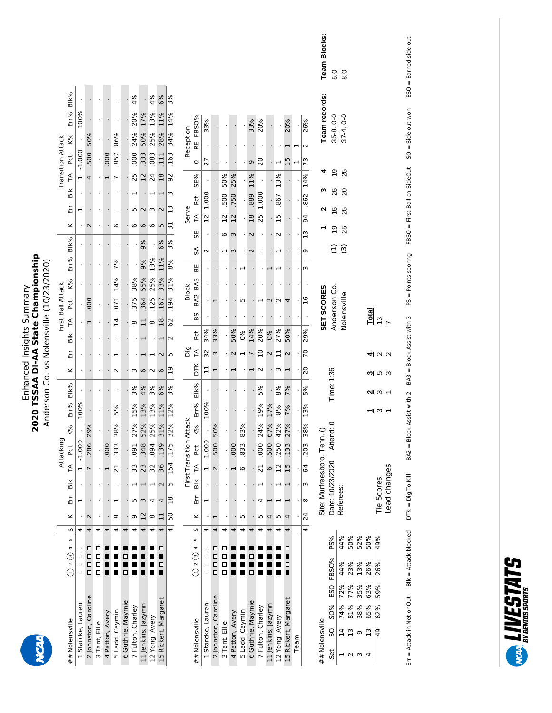# Enhanced Insights Summary<br>2020 TSSAA DI-AA State Championship<br>Anderson Co. vs Nolensville (10/23/2020) **2020 TSSAA DI-AA State Championship** Enhanced Insights Summary

Anderson Co. vs Nolensville (10/23/2020)

|                          |                    |                       |                      |               |                 |                 |                   |                   |                    |                 |                         |                |              |                              |                          |                      |                 |                 |                |                   |                   |                    |                 |                      |      |                 | Team Blocks:              | 5.0                | 8.0                      |                |     |        |                |  |  |
|--------------------------|--------------------|-----------------------|----------------------|---------------|-----------------|-----------------|-------------------|-------------------|--------------------|-----------------|-------------------------|----------------|--------------|------------------------------|--------------------------|----------------------|-----------------|-----------------|----------------|-------------------|-------------------|--------------------|-----------------|----------------------|------|-----------------|---------------------------|--------------------|--------------------------|----------------|-----|--------|----------------|--|--|
|                          |                    |                       |                      |               |                 |                 |                   |                   |                    |                 |                         |                |              |                              |                          |                      |                 |                 |                |                   |                   |                    |                 |                      |      |                 |                           |                    |                          |                |     |        |                |  |  |
|                          | Blk%               |                       |                      |               |                 |                 |                   | 4%                |                    | 4%              | 6%                      | 3%             |              |                              |                          |                      |                 |                 |                |                   |                   |                    |                 |                      |      |                 | Team records:             |                    |                          |                |     |        |                |  |  |
|                          | Err%               | 100%                  |                      |               |                 |                 |                   | 20%               | 17%                | 13%             | 11%                     | 14%            |              | RE FBSO%                     | 33%                      |                      |                 |                 |                | 33%               | 20%               |                    |                 | 20%                  |      | 26%             |                           | $35-8, 0-0$        | $37 - 4, 0 - 0$          |                |     |        |                |  |  |
|                          | K%                 |                       | 50%                  |               |                 | 86%             |                   | 24%               | 50%                | 25%             | 28%                     | 34%            | Reception    |                              |                          |                      |                 |                 |                |                   |                   |                    |                 |                      |      | $\sim$          |                           |                    |                          |                |     |        |                |  |  |
| <b>Transition Attack</b> | Pct                | $-1.000$              | .500                 |               | 000             | 857             |                   | 000               | 333                | .083            | 111                     | .163           |              | $\circ$                      | 27                       |                      |                 |                 |                | σ                 | 20                |                    |                 | $\overline{1}$       |      | 73              |                           |                    |                          |                |     |        |                |  |  |
|                          | $\tilde{E}$        | $\mathbf{\mathbf{r}}$ | 4                    |               |                 |                 |                   | 25                | 12                 | $\overline{24}$ | 18                      | 92             |              | SE%                          |                          |                      | 50%             | 25%             |                | 11%               |                   |                    | 13%             |                      |      | 14%             |                           | Ő,                 | 25                       |                |     |        |                |  |  |
|                          | $\frac{1}{100}$    |                       |                      |               |                 |                 |                   |                   |                    |                 | ᆏ                       | ω              |              | <b>Pct</b>                   | 1.000                    |                      | 500             | 750             |                | .889              | 1.000             |                    | .867            |                      |      | .862            | ∾                         | 25                 | $\overline{20}$          |                |     |        |                |  |  |
|                          | Εr                 | $\mathbf{\mathbf{r}}$ |                      |               |                 |                 |                   | ഗ                 |                    | w               | $\mathbf{\Omega}$       | $\mathbf{u}$   | Serve        | F                            | $\overline{2}$           |                      | $\overline{12}$ | $^{12}$         |                | 18                | 25                |                    | $\overline{15}$ |                      |      | 94              |                           | 10                 | 25                       |                |     |        |                |  |  |
|                          | ×                  |                       | $\sim$               |               |                 | 6               |                   | စ                 | $\circ$            | 6               | 5                       | 51             |              | 55                           |                          |                      | 6               | $\epsilon$      |                | $\mathbf 2$       |                   |                    | $\sim$          |                      |      | $\frac{1}{3}$   |                           | 空                  | 25                       |                |     |        |                |  |  |
|                          | Blk%               |                       |                      |               |                 |                 |                   |                   | 9%                 |                 | 6%                      | 3%             |              | SA                           | N                        |                      |                 | $\infty$        |                |                   |                   |                    |                 |                      |      | თ               |                           | Э                  | $\widehat{\mathfrak{S}}$ |                |     |        |                |  |  |
|                          | Err%               |                       |                      |               |                 | 7%              |                   |                   | 9%                 | 13%             | 11%                     | 8%             |              | ЬË                           |                          |                      |                 |                 |                |                   |                   |                    |                 |                      |      | w               |                           |                    |                          |                |     |        |                |  |  |
|                          | K%                 |                       |                      |               |                 | 14%             |                   | 38%               | 55%                | 25%             | 33%                     | 31%            | <b>Block</b> | BA2 BA3                      |                          |                      |                 |                 |                |                   |                   |                    |                 |                      |      |                 |                           |                    |                          |                |     |        |                |  |  |
|                          | 2d                 |                       | 000                  |               |                 | 071             |                   | 375               | 364                | 125             | 167                     | 194            |              |                              |                          |                      |                 |                 |                |                   |                   |                    |                 | 4                    |      | $\overline{16}$ |                           |                    |                          |                |     |        |                |  |  |
| First Ball Attack        | $\tilde{=}$        |                       | E                    |               |                 | $\overline{1}$  |                   | $\infty$          | $\Box$             | ${}^{\circ}$    | 18                      | 62             |              | BS                           |                          |                      |                 |                 |                |                   |                   |                    |                 |                      |      |                 | SET SCORES                | Anderson Co.       | Nolensville              |                |     | Total  | $\frac{3}{2}$  |  |  |
|                          | $\frac{1}{2}$      |                       |                      |               |                 |                 |                   |                   |                    |                 | 1                       | $\sim$         |              | <b>Pct</b>                   | 34%                      | 33%                  |                 | 50%             | 0%             | 14%               | 20%               | 0%                 | 27%             | 50%                  |      | 29%             |                           |                    |                          |                |     |        |                |  |  |
|                          | 띺                  |                       |                      |               |                 |                 |                   |                   |                    |                 |                         | 5              | Dig          | F                            | 32                       | S                    |                 | $\sim$          | $\overline{ }$ | $\overline{ }$    | $\overline{a}$    | $\sim$             | $\Box$          | $\sim$               |      | 70              |                           |                    |                          |                |     | 41 U V |                |  |  |
|                          | ×                  |                       |                      |               |                 | $\sim$          |                   | w                 | $\circ$            | $\sim$          | $\circ$                 | $\overline{0}$ |              | DТК                          | $\mathbf{1}$             |                      |                 |                 |                |                   | $\sim$            |                    | m               |                      |      | 20              |                           |                    |                          |                |     | ო სი ო |                |  |  |
|                          | Blk%               |                       |                      |               |                 |                 |                   | 3%                | 4%                 | 3%              | 6%                      | 3%             |              | Blk%                         |                          |                      |                 |                 |                |                   | 5%                |                    | 8%              | 7%                   |      | 5%              |                           | Time: 1:36         |                          |                |     | ៧ ຕ ∗  |                |  |  |
|                          | Err%               | 100%                  |                      |               |                 | 5%              |                   | 15%               | 13%                | 13%             | 11%                     | 12%            |              | Err%                         | 100%                     |                      |                 |                 |                |                   | 19%               | 17%                | 8%              | 7%                   |      | 13%             |                           |                    |                          |                |     | പ ന    |                |  |  |
|                          | K%                 |                       | 29%                  |               |                 | 38%             |                   | 27%               | 52%                | 25%             | 31%                     | 32%            |              | K%                           |                          | 50%                  |                 |                 | 83%            |                   | 24%               | 57%                | 42%             | 27%                  |      | 38%             | ○                         | $\overline{a}$ : 0 |                          |                |     |        |                |  |  |
|                          |                    |                       | .286                 |               | 000             | 333             |                   |                   | 348                | 094             | 139                     | 175            |              |                              | First Transition Attack  |                      |                 | 500             |                | 000               | 833               |                    | .000            | 500                  | .250 | 133             |                           | 203                |                          | Atten          |     |        |                |  |  |
| Attacking                | <b>Pct</b>         | $-1.000$              |                      |               |                 |                 |                   | 091               |                    |                 |                         |                |              | <b>PC</b>                    | $-1.000$                 |                      |                 |                 |                |                   |                   |                    |                 |                      |      |                 |                           |                    |                          |                |     |        |                |  |  |
|                          | ſA<br>ă            | $\blacksquare$        | $\overline{ }$       |               |                 | $\overline{2}1$ |                   | 33                | 23                 | 32              | 36<br>$\mathbf{\Omega}$ | 154<br>S       |              | $\tilde{H}$<br>$\frac{1}{2}$ | $\overline{\phantom{0}}$ | $\mathbf{\Omega}$    |                 |                 | G              |                   | $\overline{21}$   | 0                  | $\overline{12}$ | 15                   |      | 64<br>m         |                           |                    |                          |                |     |        |                |  |  |
|                          | 圧                  | ⊣                     |                      |               |                 |                 |                   | ъ                 | m                  | 4               | 4                       | 18             |              | Εr                           | ⊣                        |                      |                 |                 |                |                   | 4                 |                    |                 |                      |      | $\infty$        | Site: Murfreesboro, Tenn. | Date: 10/23/2020   | Referees:                |                |     |        | Tie Scores     |  |  |
|                          | ×                  |                       | $\sim$               |               |                 | $\infty$        |                   | G                 | 12                 | $\infty$        | 급                       | 50             |              | ⊻                            |                          |                      |                 |                 | m              |                   | ഥ                 | 4                  | LO              | 4                    |      | $\overline{24}$ |                           |                    |                          |                |     |        |                |  |  |
|                          | w                  | 4                     | 4                    | 4             | 4               | 4               | 4                 | 4                 | 4                  | 4               | 4                       | 4              |              | ഗ                            | 4                        | 4                    | 4               | 4               | 4              | 4                 | 4                 | 4                  | 4               | 4                    |      | 4               |                           |                    |                          |                |     |        |                |  |  |
|                          | Ю<br>4             |                       | □                    | □             |                 |                 |                   |                   |                    |                 |                         |                |              | Б<br>4                       |                          | ◻                    | ш               |                 |                |                   |                   |                    |                 | П                    |      |                 |                           | PS%                | 44%                      | 50%            | 52% | 50%    | 49%            |  |  |
|                          | ල<br>$\hat{\odot}$ |                       | □<br>□               | □<br>□        |                 |                 |                   |                   |                    |                 |                         |                |              | ල<br>$\sim$                  |                          | □                    |                 |                 |                |                   |                   |                    |                 |                      |      |                 |                           | FBSO%              | 44%                      | 23%            | 13% | 26%    | 26%            |  |  |
|                          |                    |                       | $\Box$               | □             |                 |                 |                   |                   |                    |                 |                         |                |              | $\overline{\in}$             |                          | □                    |                 |                 |                |                   |                   |                    |                 |                      |      |                 |                           |                    |                          |                |     |        |                |  |  |
|                          |                    |                       |                      |               |                 |                 |                   |                   |                    |                 |                         |                |              |                              |                          |                      |                 |                 |                |                   |                   |                    |                 |                      |      |                 |                           | ESO                | 72%                      | 77%            | 35% | 63%    | 59%            |  |  |
|                          |                    | 1 Starcke, Lauren     | 2 Johnston, Caroline |               | 4 Patton, Avery | 5 Ladd, Caymin  | 6 Guthrie, Maymie | 7 Fulton, Charley | 11 Jenkins, Jazymn |                 | 15 Rickert, Margaret    |                |              |                              | 1 Starcke, Lauren        | 2 Johnston, Caroline |                 |                 | 5 Ladd, Caymin | 6 Guthrie, Maymie | 7 Fulton, Charley | 11 Jenkins, Jazymn |                 | 15 Rickert, Margaret |      |                 |                           | <b>SO%</b>         | 74%                      | 81%            | 38% | 65%    | 62%            |  |  |
|                          |                    |                       |                      | 3 Tant, Ellie |                 |                 |                   |                   |                    | 12 Yong, Avery  |                         |                |              | ##Nolensville                |                          |                      | 3 Tant, Ellie   | 4 Patton, Avery |                |                   |                   |                    | 12 Yong, Avery  |                      |      |                 | ## Nolensville            | SO                 | $\overline{1}$           | $\overline{1}$ |     | 13     | $\overline{6}$ |  |  |
|                          | ##Nolensville      |                       |                      |               |                 |                 |                   |                   |                    |                 |                         |                |              |                              |                          |                      |                 |                 |                |                   |                   |                    |                 |                      | Team |                 |                           |                    |                          |                | G   |        |                |  |  |

DTK = Dig To Kill  $BA2 = Block\ As$ sist with 2  $BA3 = Block\ As$ sist with 3  $PS = Points\ corin g$  FBSO = First Ball on SideOut SO = Side out won  $ESO = Eamed\ S$ ide out SO = Side out won ESO = Earned side out FBSO = First Ball on SideOut PS = Points scoring Blk = Attack blocked  $\quad$  DTK = Dig To Kill  $\quad$  BA2 = Block Assist with 2  $\quad$  BA3 = Block Assist with 3 Err = Attack in Net or Out  $\qquad$  Blk = Attack blocked  $\qquad$  DTK = Dig To Kill  $Blk = Attack blocked$ Err = Attack in Net or Out

ო ს ო  $\begin{array}{cccc} 1 & 1 & 3 & 2 \end{array}$ 

Tie Scores Lead changes